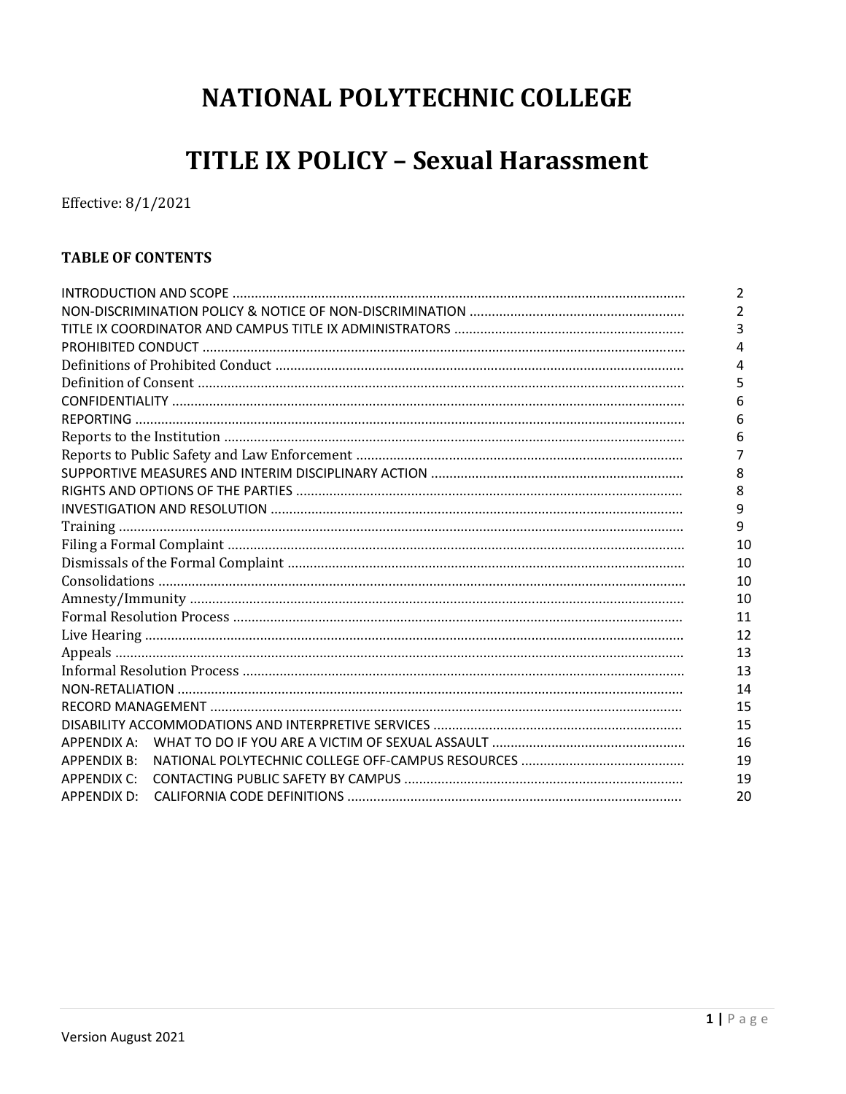# NATIONAL POLYTECHNIC COLLEGE

# **TITLE IX POLICY - Sexual Harassment**

Effective: 8/1/2021

# **TABLE OF CONTENTS**

|                    | 2  |  |  |  |
|--------------------|----|--|--|--|
|                    |    |  |  |  |
|                    | 3  |  |  |  |
|                    | 4  |  |  |  |
|                    | 4  |  |  |  |
|                    | 5  |  |  |  |
|                    | 6  |  |  |  |
|                    | 6  |  |  |  |
|                    | 6  |  |  |  |
|                    |    |  |  |  |
|                    | 8  |  |  |  |
|                    | 8  |  |  |  |
|                    | 9  |  |  |  |
|                    | 9  |  |  |  |
|                    |    |  |  |  |
|                    | 10 |  |  |  |
|                    | 10 |  |  |  |
|                    | 10 |  |  |  |
|                    |    |  |  |  |
|                    |    |  |  |  |
|                    | 13 |  |  |  |
|                    | 13 |  |  |  |
|                    | 14 |  |  |  |
|                    | 15 |  |  |  |
|                    | 15 |  |  |  |
| APPENDIX A:        | 16 |  |  |  |
| <b>APPENDIX B:</b> | 19 |  |  |  |
| <b>APPENDIX C:</b> | 19 |  |  |  |
| APPENDIX D:        | 20 |  |  |  |
|                    |    |  |  |  |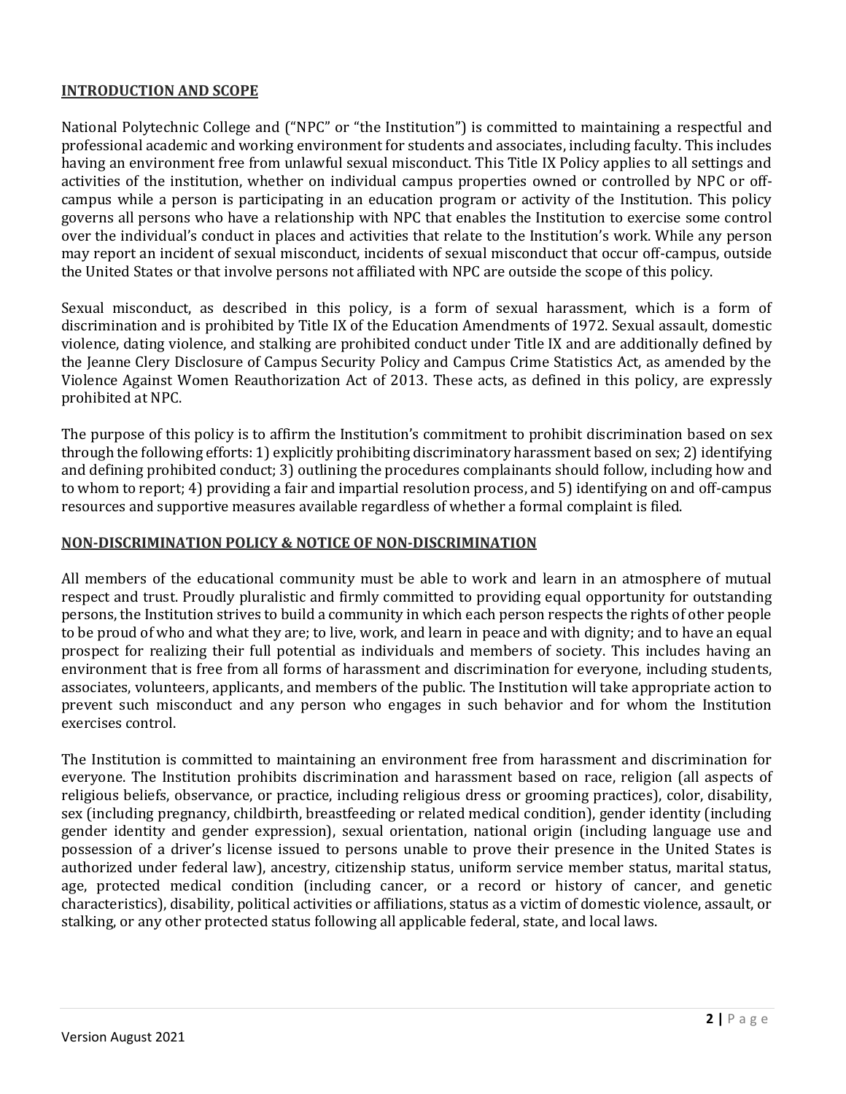# **INTRODUCTION AND SCOPE**

National Polytechnic College and ("NPC" or "the Institution") is committed to maintaining a respectful and professional academic and working environment for students and associates, including faculty. This includes having an environment free from unlawful sexual misconduct. This Title IX Policy applies to all settings and activities of the institution, whether on individual campus properties owned or controlled by NPC or offcampus while a person is participating in an education program or activity of the Institution. This policy governs all persons who have a relationship with NPC that enables the Institution to exercise some control over the individual's conduct in places and activities that relate to the Institution's work. While any person may report an incident of sexual misconduct, incidents of sexual misconduct that occur off-campus, outside the United States or that involve persons not affiliated with NPC are outside the scope of this policy.

Sexual misconduct, as described in this policy, is a form of sexual harassment, which is a form of discrimination and is prohibited by Title IX of the Education Amendments of 1972. Sexual assault, domestic violence, dating violence, and stalking are prohibited conduct under Title IX and are additionally defined by the Jeanne Clery Disclosure of Campus Security Policy and Campus Crime Statistics Act, as amended by the Violence Against Women Reauthorization Act of 2013. These acts, as defined in this policy, are expressly prohibited at NPC.

The purpose of this policy is to affirm the Institution's commitment to prohibit discrimination based on sex through the following efforts: 1) explicitly prohibiting discriminatory harassment based on sex; 2) identifying and defining prohibited conduct; 3) outlining the procedures complainants should follow, including how and to whom to report; 4) providing a fair and impartial resolution process, and 5) identifying on and off-campus resources and supportive measures available regardless of whether a formal complaint is filed.

# **NON-DISCRIMINATION POLICY & NOTICE OF NON-DISCRIMINATION**

All members of the educational community must be able to work and learn in an atmosphere of mutual respect and trust. Proudly pluralistic and firmly committed to providing equal opportunity for outstanding persons, the Institution strives to build a community in which each person respects the rights of other people to be proud of who and what they are; to live, work, and learn in peace and with dignity; and to have an equal prospect for realizing their full potential as individuals and members of society. This includes having an environment that is free from all forms of harassment and discrimination for everyone, including students, associates, volunteers, applicants, and members of the public. The Institution will take appropriate action to prevent such misconduct and any person who engages in such behavior and for whom the Institution exercises control.

The Institution is committed to maintaining an environment free from harassment and discrimination for everyone. The Institution prohibits discrimination and harassment based on race, religion (all aspects of religious beliefs, observance, or practice, including religious dress or grooming practices), color, disability, sex (including pregnancy, childbirth, breastfeeding or related medical condition), gender identity (including gender identity and gender expression), sexual orientation, national origin (including language use and possession of a driver's license issued to persons unable to prove their presence in the United States is authorized under federal law), ancestry, citizenship status, uniform service member status, marital status, age, protected medical condition (including cancer, or a record or history of cancer, and genetic characteristics), disability, political activities or affiliations, status as a victim of domestic violence, assault, or stalking, or any other protected status following all applicable federal, state, and local laws.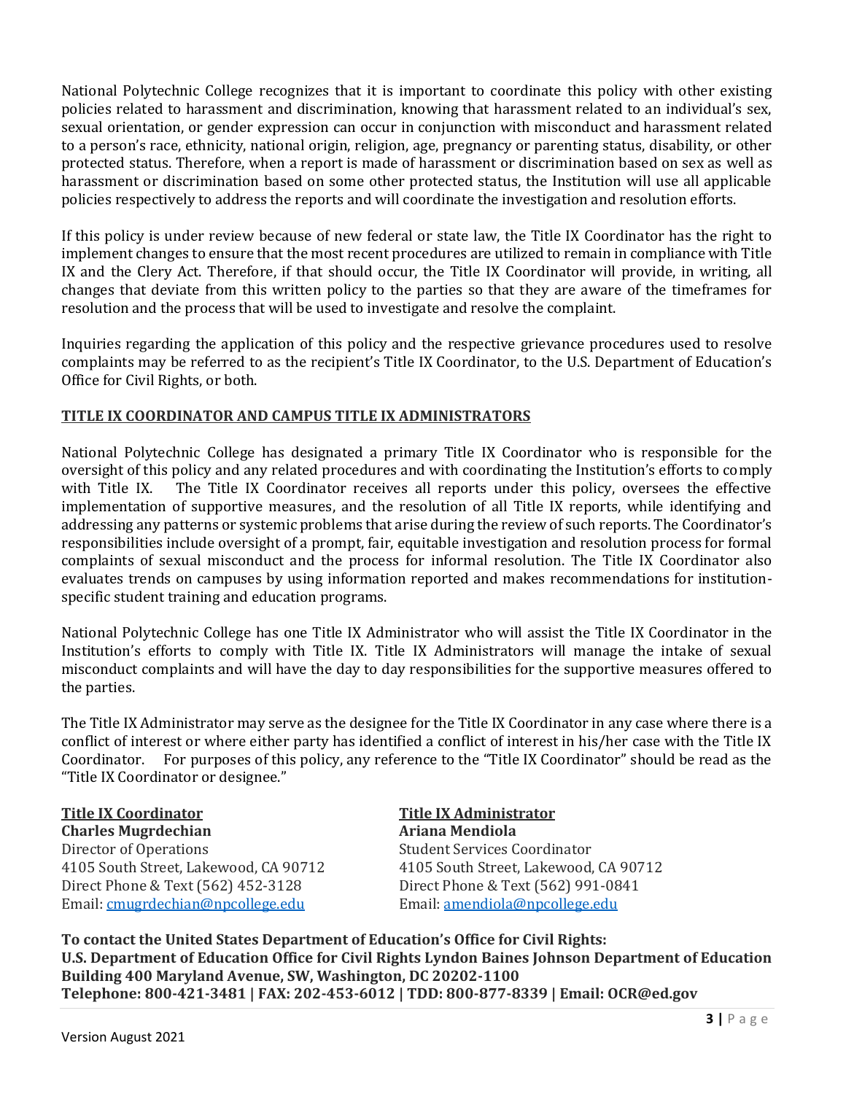National Polytechnic College recognizes that it is important to coordinate this policy with other existing policies related to harassment and discrimination, knowing that harassment related to an individual's sex, sexual orientation, or gender expression can occur in conjunction with misconduct and harassment related to a person's race, ethnicity, national origin, religion, age, pregnancy or parenting status, disability, or other protected status. Therefore, when a report is made of harassment or discrimination based on sex as well as harassment or discrimination based on some other protected status, the Institution will use all applicable policies respectively to address the reports and will coordinate the investigation and resolution efforts.

If this policy is under review because of new federal or state law, the Title IX Coordinator has the right to implement changes to ensure that the most recent procedures are utilized to remain in compliance with Title IX and the Clery Act. Therefore, if that should occur, the Title IX Coordinator will provide, in writing, all changes that deviate from this written policy to the parties so that they are aware of the timeframes for resolution and the process that will be used to investigate and resolve the complaint.

Inquiries regarding the application of this policy and the respective grievance procedures used to resolve complaints may be referred to as the recipient's Title IX Coordinator, to the U.S. Department of Education's Office for Civil Rights, or both.

# **TITLE IX COORDINATOR AND CAMPUS TITLE IX ADMINISTRATORS**

National Polytechnic College has designated a primary Title IX Coordinator who is responsible for the oversight of this policy and any related procedures and with coordinating the Institution's efforts to comply with Title IX. The Title IX Coordinator receives all reports under this policy, oversees the effective implementation of supportive measures, and the resolution of all Title IX reports, while identifying and addressing any patterns or systemic problems that arise during the review of such reports. The Coordinator's responsibilities include oversight of a prompt, fair, equitable investigation and resolution process for formal complaints of sexual misconduct and the process for informal resolution. The Title IX Coordinator also evaluates trends on campuses by using information reported and makes recommendations for institutionspecific student training and education programs.

National Polytechnic College has one Title IX Administrator who will assist the Title IX Coordinator in the Institution's efforts to comply with Title IX. Title IX Administrators will manage the intake of sexual misconduct complaints and will have the day to day responsibilities for the supportive measures offered to the parties.

The Title IX Administrator may serve as the designee for the Title IX Coordinator in any case where there is a conflict of interest or where either party has identified a conflict of interest in his/her case with the Title IX Coordinator. For purposes of this policy, any reference to the "Title IX Coordinator" should be read as the "Title IX Coordinator or designee."

**Charles Mugrdechian Ariana Mendiola** Director of Operations Student Services Coordinator 4105 South Street, Lakewood, CA 90712 4105 South Street, Lakewood, CA 90712 Direct Phone & Text (562) 452-3128 Direct Phone & Text (562) 991-0841 Email: cmugrdechian@npcollege.edu Email: amendiola@npcollege.edu

**Title IX Coordinator Title IX Administrator**

**To contact the United States Department of Education's Office for Civil Rights: U.S. Department of Education Office for Civil Rights Lyndon Baines Johnson Department of Education Building 400 Maryland Avenue, SW, Washington, DC 20202-1100 Telephone: 800-421-3481 | FAX: 202-453-6012 | TDD: 800-877-8339 | Email: OCR@ed.gov**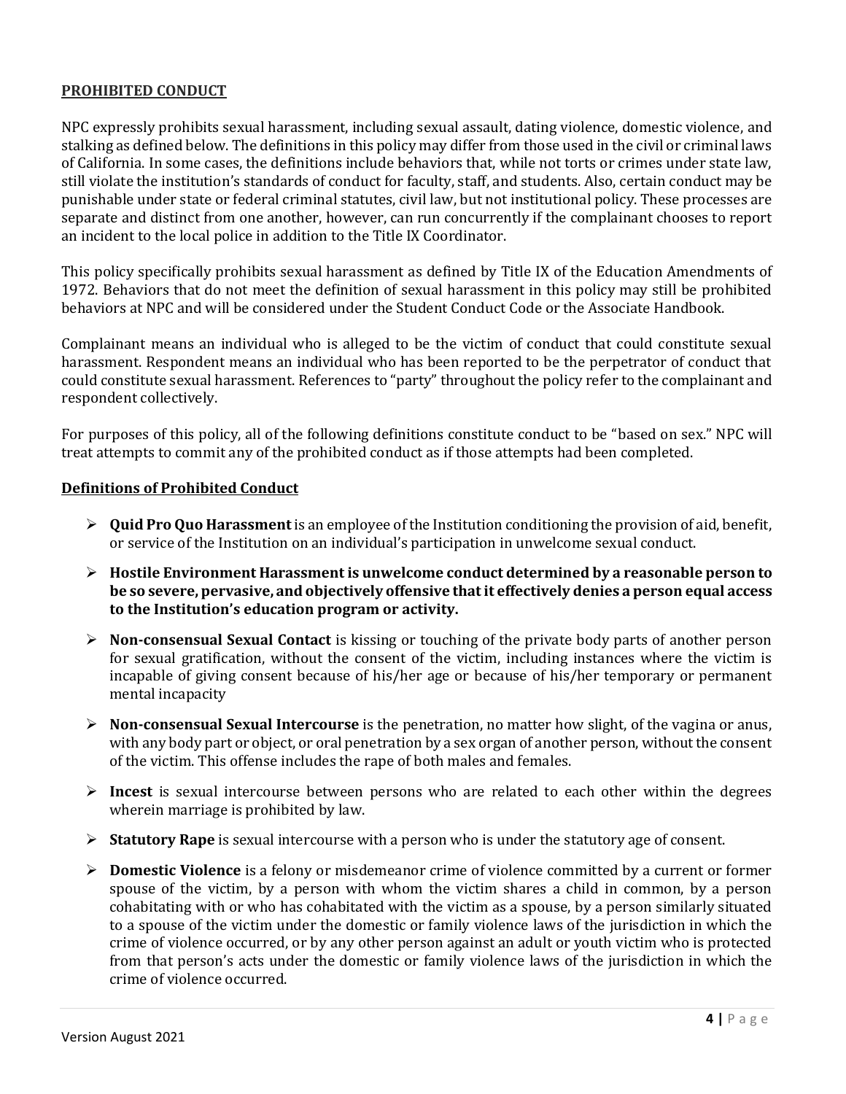# **PROHIBITED CONDUCT**

NPC expressly prohibits sexual harassment, including sexual assault, dating violence, domestic violence, and stalking as defined below. The definitions in this policy may differ from those used in the civil or criminal laws of California. In some cases, the definitions include behaviors that, while not torts or crimes under state law, still violate the institution's standards of conduct for faculty, staff, and students. Also, certain conduct may be punishable under state or federal criminal statutes, civil law, but not institutional policy. These processes are separate and distinct from one another, however, can run concurrently if the complainant chooses to report an incident to the local police in addition to the Title IX Coordinator.

This policy specifically prohibits sexual harassment as defined by Title IX of the Education Amendments of 1972. Behaviors that do not meet the definition of sexual harassment in this policy may still be prohibited behaviors at NPC and will be considered under the Student Conduct Code or the Associate Handbook.

Complainant means an individual who is alleged to be the victim of conduct that could constitute sexual harassment. Respondent means an individual who has been reported to be the perpetrator of conduct that could constitute sexual harassment. References to "party" throughout the policy refer to the complainant and respondent collectively.

For purposes of this policy, all of the following definitions constitute conduct to be "based on sex." NPC will treat attempts to commit any of the prohibited conduct as if those attempts had been completed.

#### **Definitions of Prohibited Conduct**

- ¾ **Quid Pro Quo Harassment** is an employee of the Institution conditioning the provision of aid, benefit, or service of the Institution on an individual's participation in unwelcome sexual conduct.
- ¾ **Hostile Environment Harassment is unwelcome conduct determined by a reasonable person to be so severe, pervasive, and objectively offensive that it effectively denies a person equal access to the Institution's education program or activity.**
- ¾ **Non-consensual Sexual Contact** is kissing or touching of the private body parts of another person for sexual gratification, without the consent of the victim, including instances where the victim is incapable of giving consent because of his/her age or because of his/her temporary or permanent mental incapacity
- ¾ **Non-consensual Sexual Intercourse** is the penetration, no matter how slight, of the vagina or anus, with any body part or object, or oral penetration by a sex organ of another person, without the consent of the victim. This offense includes the rape of both males and females.
- ¾ **Incest** is sexual intercourse between persons who are related to each other within the degrees wherein marriage is prohibited by law.
- ¾ **Statutory Rape** is sexual intercourse with a person who is under the statutory age of consent.
- ¾ **Domestic Violence** is a felony or misdemeanor crime of violence committed by a current or former spouse of the victim, by a person with whom the victim shares a child in common, by a person cohabitating with or who has cohabitated with the victim as a spouse, by a person similarly situated to a spouse of the victim under the domestic or family violence laws of the jurisdiction in which the crime of violence occurred, or by any other person against an adult or youth victim who is protected from that person's acts under the domestic or family violence laws of the jurisdiction in which the crime of violence occurred.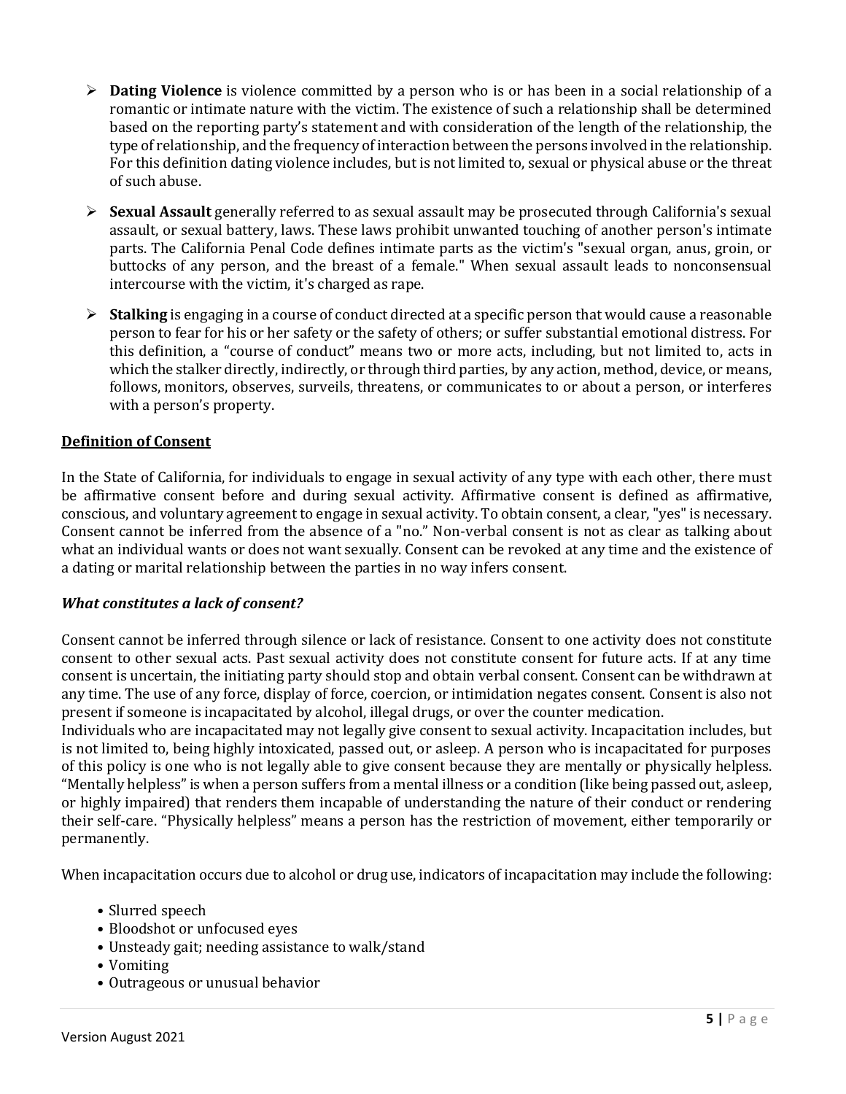- ¾ **Dating Violence** is violence committed by a person who is or has been in a social relationship of a romantic or intimate nature with the victim. The existence of such a relationship shall be determined based on the reporting party's statement and with consideration of the length of the relationship, the type of relationship, and the frequency of interaction between the persons involved in the relationship. For this definition dating violence includes, but is not limited to, sexual or physical abuse or the threat of such abuse.
- ¾ **Sexual Assault** generally referred to as sexual assault may be prosecuted through California's sexual assault, or sexual battery, laws. These laws prohibit unwanted touching of another person's intimate parts. The California Penal Code defines intimate parts as the victim's "sexual organ, anus, groin, or buttocks of any person, and the breast of a female." When sexual assault leads to nonconsensual intercourse with the victim, it's charged as rape.
- ¾ **Stalking** is engaging in a course of conduct directed at a specific person that would cause a reasonable person to fear for his or her safety or the safety of others; or suffer substantial emotional distress. For this definition, a "course of conduct" means two or more acts, including, but not limited to, acts in which the stalker directly, indirectly, or through third parties, by any action, method, device, or means, follows, monitors, observes, surveils, threatens, or communicates to or about a person, or interferes with a person's property.

# **Definition of Consent**

In the State of California, for individuals to engage in sexual activity of any type with each other, there must be affirmative consent before and during sexual activity. Affirmative consent is defined as affirmative, conscious, and voluntary agreement to engage in sexual activity. To obtain consent, a clear, "yes" is necessary. Consent cannot be inferred from the absence of a "no." Non-verbal consent is not as clear as talking about what an individual wants or does not want sexually. Consent can be revoked at any time and the existence of a dating or marital relationship between the parties in no way infers consent.

#### *What constitutes a lack of consent?*

Consent cannot be inferred through silence or lack of resistance. Consent to one activity does not constitute consent to other sexual acts. Past sexual activity does not constitute consent for future acts. If at any time consent is uncertain, the initiating party should stop and obtain verbal consent. Consent can be withdrawn at any time. The use of any force, display of force, coercion, or intimidation negates consent. Consent is also not present if someone is incapacitated by alcohol, illegal drugs, or over the counter medication.

Individuals who are incapacitated may not legally give consent to sexual activity. Incapacitation includes, but is not limited to, being highly intoxicated, passed out, or asleep. A person who is incapacitated for purposes of this policy is one who is not legally able to give consent because they are mentally or physically helpless. "Mentally helpless" is when a person suffers from a mental illness or a condition (like being passed out, asleep, or highly impaired) that renders them incapable of understanding the nature of their conduct or rendering their self-care. "Physically helpless" means a person has the restriction of movement, either temporarily or permanently.

When incapacitation occurs due to alcohol or drug use, indicators of incapacitation may include the following:

- Slurred speech
- Bloodshot or unfocused eyes
- Unsteady gait; needing assistance to walk/stand
- Vomiting
- Outrageous or unusual behavior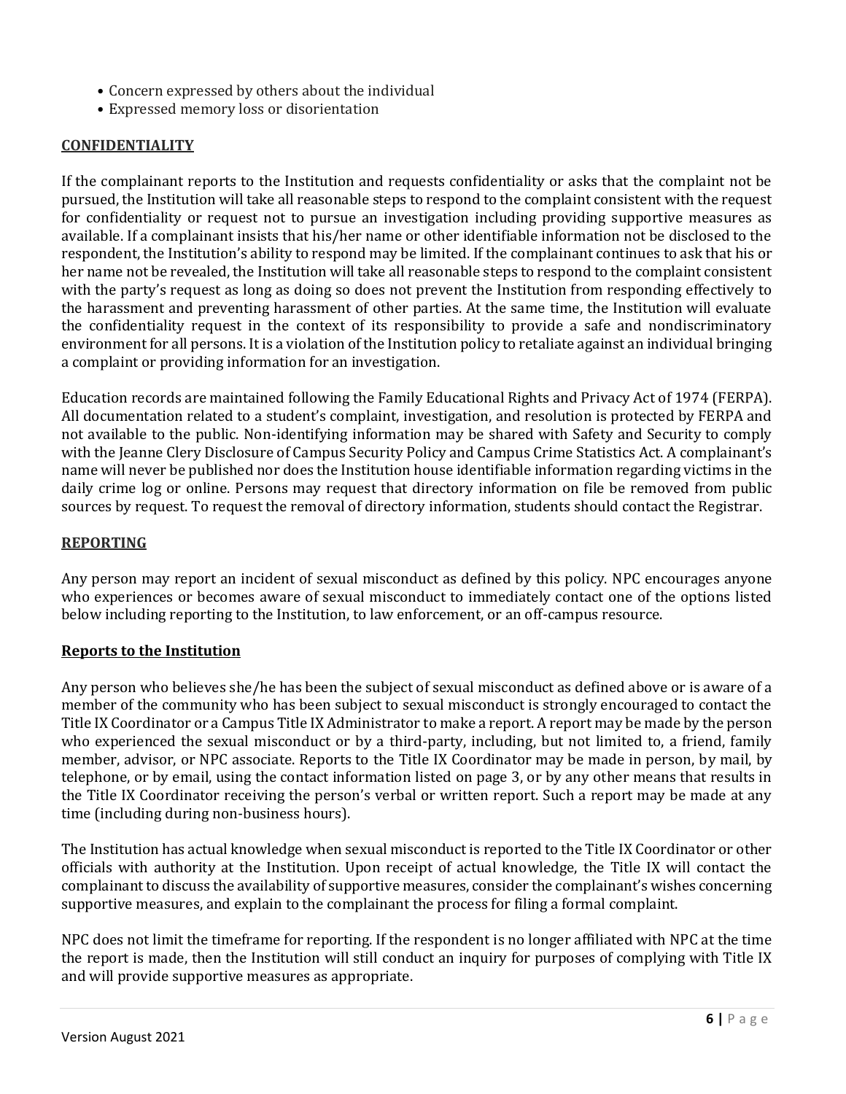- Concern expressed by others about the individual
- Expressed memory loss or disorientation

# **CONFIDENTIALITY**

If the complainant reports to the Institution and requests confidentiality or asks that the complaint not be pursued, the Institution will take all reasonable steps to respond to the complaint consistent with the request for confidentiality or request not to pursue an investigation including providing supportive measures as available. If a complainant insists that his/her name or other identifiable information not be disclosed to the respondent, the Institution's ability to respond may be limited. If the complainant continues to ask that his or her name not be revealed, the Institution will take all reasonable steps to respond to the complaint consistent with the party's request as long as doing so does not prevent the Institution from responding effectively to the harassment and preventing harassment of other parties. At the same time, the Institution will evaluate the confidentiality request in the context of its responsibility to provide a safe and nondiscriminatory environment for all persons. It is a violation of the Institution policy to retaliate against an individual bringing a complaint or providing information for an investigation.

Education records are maintained following the Family Educational Rights and Privacy Act of 1974 (FERPA). All documentation related to a student's complaint, investigation, and resolution is protected by FERPA and not available to the public. Non-identifying information may be shared with Safety and Security to comply with the Jeanne Clery Disclosure of Campus Security Policy and Campus Crime Statistics Act. A complainant's name will never be published nor does the Institution house identifiable information regarding victims in the daily crime log or online. Persons may request that directory information on file be removed from public sources by request. To request the removal of directory information, students should contact the Registrar.

# **REPORTING**

Any person may report an incident of sexual misconduct as defined by this policy. NPC encourages anyone who experiences or becomes aware of sexual misconduct to immediately contact one of the options listed below including reporting to the Institution, to law enforcement, or an off-campus resource.

# **Reports to the Institution**

Any person who believes she/he has been the subject of sexual misconduct as defined above or is aware of a member of the community who has been subject to sexual misconduct is strongly encouraged to contact the Title IX Coordinator or a Campus Title IX Administrator to make a report. A report may be made by the person who experienced the sexual misconduct or by a third-party, including, but not limited to, a friend, family member, advisor, or NPC associate. Reports to the Title IX Coordinator may be made in person, by mail, by telephone, or by email, using the contact information listed on page 3, or by any other means that results in the Title IX Coordinator receiving the person's verbal or written report. Such a report may be made at any time (including during non-business hours).

The Institution has actual knowledge when sexual misconduct is reported to the Title IX Coordinator or other officials with authority at the Institution. Upon receipt of actual knowledge, the Title IX will contact the complainant to discuss the availability of supportive measures, consider the complainant's wishes concerning supportive measures, and explain to the complainant the process for filing a formal complaint.

NPC does not limit the timeframe for reporting. If the respondent is no longer affiliated with NPC at the time the report is made, then the Institution will still conduct an inquiry for purposes of complying with Title IX and will provide supportive measures as appropriate.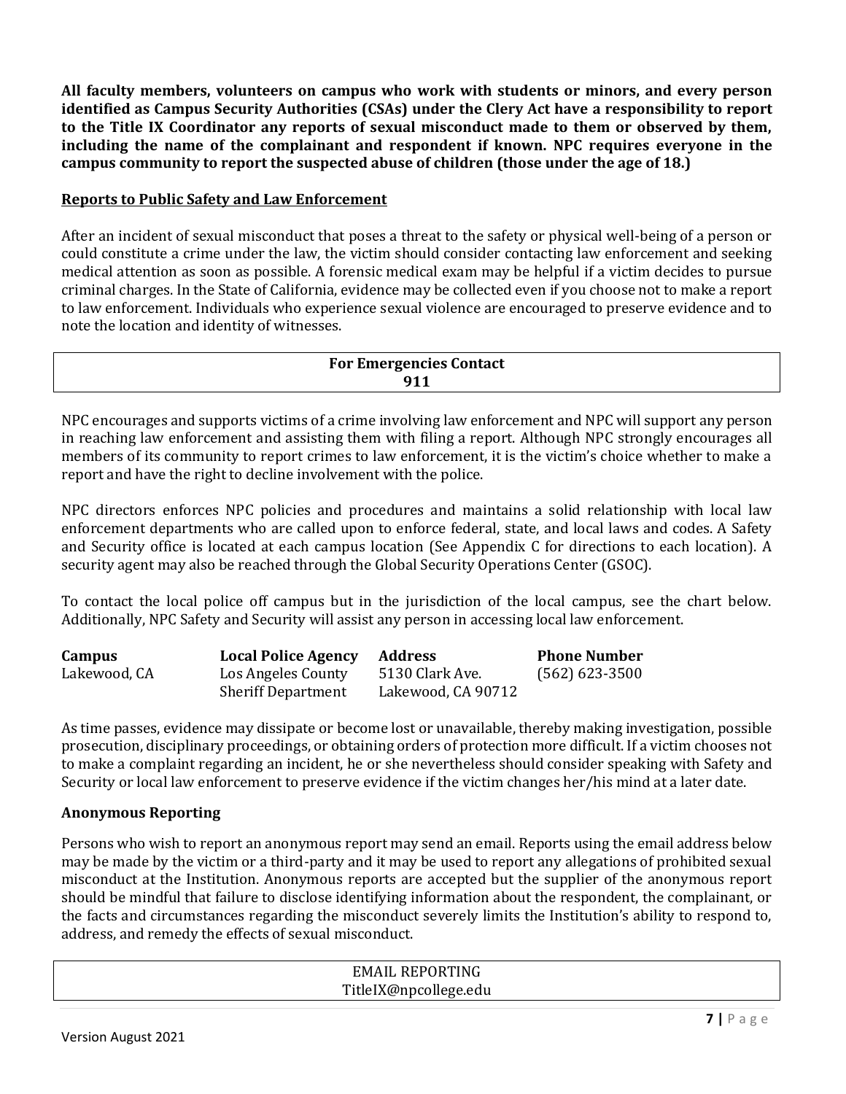**All faculty members, volunteers on campus who work with students or minors, and every person identified as Campus Security Authorities (CSAs) under the Clery Act have a responsibility to report to the Title IX Coordinator any reports of sexual misconduct made to them or observed by them, including the name of the complainant and respondent if known. NPC requires everyone in the campus community to report the suspected abuse of children (those under the age of 18.)** 

# **Reports to Public Safety and Law Enforcement**

After an incident of sexual misconduct that poses a threat to the safety or physical well-being of a person or could constitute a crime under the law, the victim should consider contacting law enforcement and seeking medical attention as soon as possible. A forensic medical exam may be helpful if a victim decides to pursue criminal charges. In the State of California, evidence may be collected even if you choose not to make a report to law enforcement. Individuals who experience sexual violence are encouraged to preserve evidence and to note the location and identity of witnesses.

# **For Emergencies Contact 911**

NPC encourages and supports victims of a crime involving law enforcement and NPC will support any person in reaching law enforcement and assisting them with filing a report. Although NPC strongly encourages all members of its community to report crimes to law enforcement, it is the victim's choice whether to make a report and have the right to decline involvement with the police.

NPC directors enforces NPC policies and procedures and maintains a solid relationship with local law enforcement departments who are called upon to enforce federal, state, and local laws and codes. A Safety and Security office is located at each campus location (See Appendix C for directions to each location). A security agent may also be reached through the Global Security Operations Center (GSOC).

To contact the local police off campus but in the jurisdiction of the local campus, see the chart below. Additionally, NPC Safety and Security will assist any person in accessing local law enforcement.

| Campus       | <b>Local Police Agency</b>                      | Address                               | <b>Phone Number</b> |
|--------------|-------------------------------------------------|---------------------------------------|---------------------|
| Lakewood, CA | Los Angeles County<br><b>Sheriff Department</b> | 5130 Clark Ave.<br>Lakewood, CA 90712 | $(562) 623 - 3500$  |

As time passes, evidence may dissipate or become lost or unavailable, thereby making investigation, possible prosecution, disciplinary proceedings, or obtaining orders of protection more difficult. If a victim chooses not to make a complaint regarding an incident, he or she nevertheless should consider speaking with Safety and Security or local law enforcement to preserve evidence if the victim changes her/his mind at a later date.

# **Anonymous Reporting**

Persons who wish to report an anonymous report may send an email. Reports using the email address below may be made by the victim or a third-party and it may be used to report any allegations of prohibited sexual misconduct at the Institution. Anonymous reports are accepted but the supplier of the anonymous report should be mindful that failure to disclose identifying information about the respondent, the complainant, or the facts and circumstances regarding the misconduct severely limits the Institution's ability to respond to, address, and remedy the effects of sexual misconduct.

| <b>EMAIL REPORTING</b> |  |
|------------------------|--|
| TitleIX@npcollege.edu  |  |
|                        |  |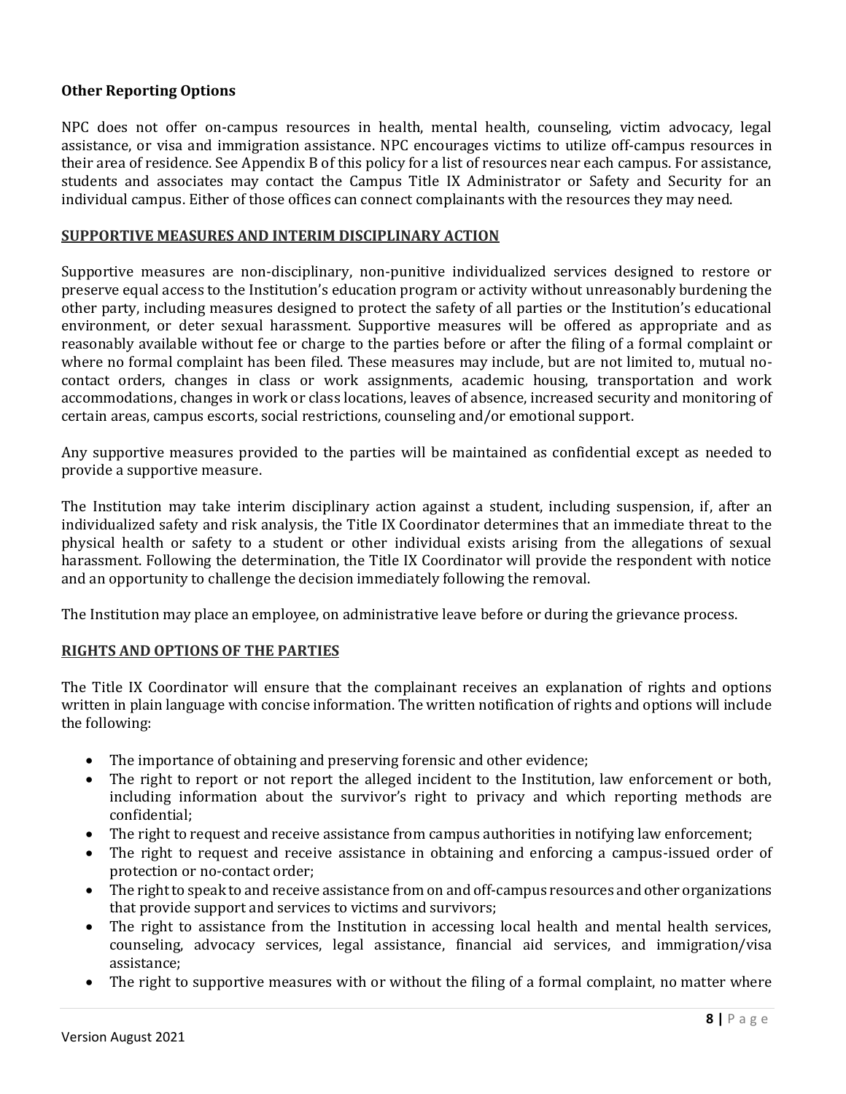# **Other Reporting Options**

NPC does not offer on-campus resources in health, mental health, counseling, victim advocacy, legal assistance, or visa and immigration assistance. NPC encourages victims to utilize off-campus resources in their area of residence. See Appendix B of this policy for a list of resources near each campus. For assistance, students and associates may contact the Campus Title IX Administrator or Safety and Security for an individual campus. Either of those offices can connect complainants with the resources they may need.

#### **SUPPORTIVE MEASURES AND INTERIM DISCIPLINARY ACTION**

Supportive measures are non-disciplinary, non-punitive individualized services designed to restore or preserve equal access to the Institution's education program or activity without unreasonably burdening the other party, including measures designed to protect the safety of all parties or the Institution's educational environment, or deter sexual harassment. Supportive measures will be offered as appropriate and as reasonably available without fee or charge to the parties before or after the filing of a formal complaint or where no formal complaint has been filed. These measures may include, but are not limited to, mutual nocontact orders, changes in class or work assignments, academic housing, transportation and work accommodations, changes in work or class locations, leaves of absence, increased security and monitoring of certain areas, campus escorts, social restrictions, counseling and/or emotional support.

Any supportive measures provided to the parties will be maintained as confidential except as needed to provide a supportive measure.

The Institution may take interim disciplinary action against a student, including suspension, if, after an individualized safety and risk analysis, the Title IX Coordinator determines that an immediate threat to the physical health or safety to a student or other individual exists arising from the allegations of sexual harassment. Following the determination, the Title IX Coordinator will provide the respondent with notice and an opportunity to challenge the decision immediately following the removal.

The Institution may place an employee, on administrative leave before or during the grievance process.

#### **RIGHTS AND OPTIONS OF THE PARTIES**

The Title IX Coordinator will ensure that the complainant receives an explanation of rights and options written in plain language with concise information. The written notification of rights and options will include the following:

- The importance of obtaining and preserving forensic and other evidence;
- The right to report or not report the alleged incident to the Institution, law enforcement or both, including information about the survivor's right to privacy and which reporting methods are confidential;
- The right to request and receive assistance from campus authorities in notifying law enforcement;
- The right to request and receive assistance in obtaining and enforcing a campus-issued order of protection or no-contact order;
- The right to speak to and receive assistance from on and off-campus resources and other organizations that provide support and services to victims and survivors;
- The right to assistance from the Institution in accessing local health and mental health services, counseling, advocacy services, legal assistance, financial aid services, and immigration/visa assistance;
- The right to supportive measures with or without the filing of a formal complaint, no matter where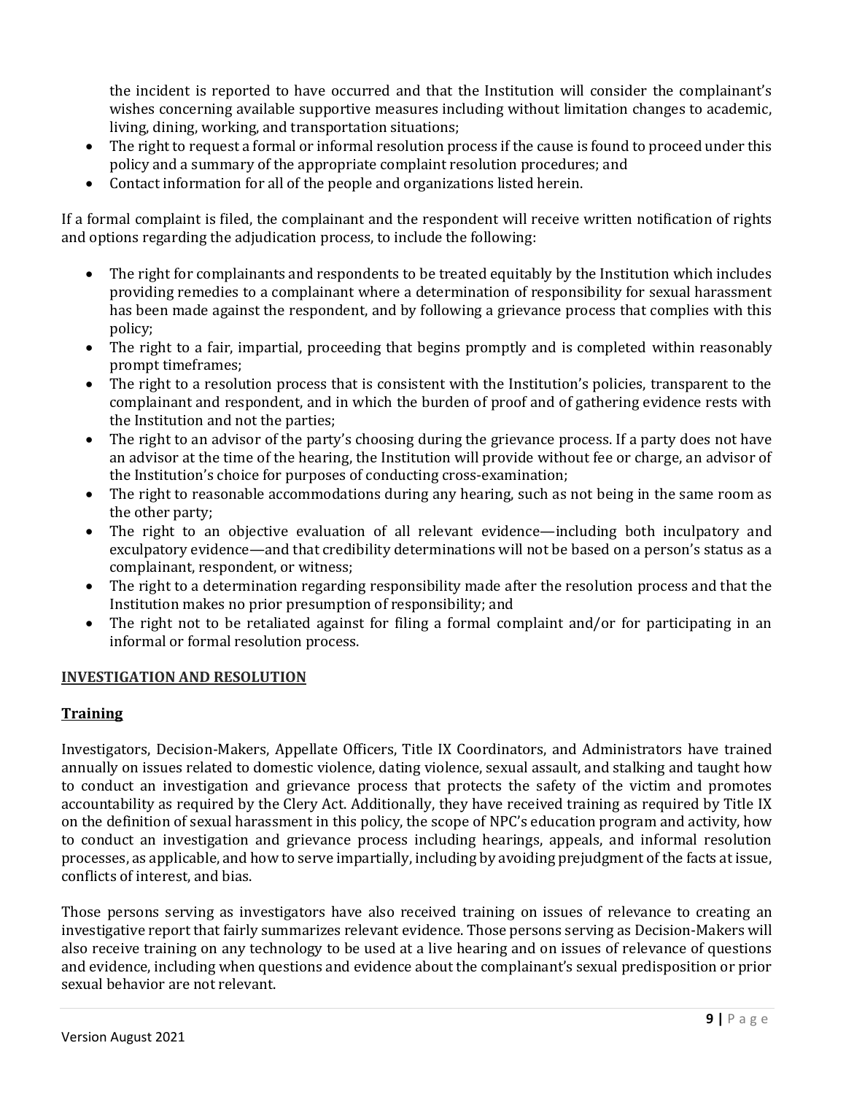the incident is reported to have occurred and that the Institution will consider the complainant's wishes concerning available supportive measures including without limitation changes to academic, living, dining, working, and transportation situations;

- The right to request a formal or informal resolution process if the cause is found to proceed under this policy and a summary of the appropriate complaint resolution procedures; and
- Contact information for all of the people and organizations listed herein.

If a formal complaint is filed, the complainant and the respondent will receive written notification of rights and options regarding the adjudication process, to include the following:

- The right for complainants and respondents to be treated equitably by the Institution which includes providing remedies to a complainant where a determination of responsibility for sexual harassment has been made against the respondent, and by following a grievance process that complies with this policy;
- The right to a fair, impartial, proceeding that begins promptly and is completed within reasonably prompt timeframes;
- The right to a resolution process that is consistent with the Institution's policies, transparent to the complainant and respondent, and in which the burden of proof and of gathering evidence rests with the Institution and not the parties;
- The right to an advisor of the party's choosing during the grievance process. If a party does not have an advisor at the time of the hearing, the Institution will provide without fee or charge, an advisor of the Institution's choice for purposes of conducting cross-examination;
- The right to reasonable accommodations during any hearing, such as not being in the same room as the other party;
- The right to an objective evaluation of all relevant evidence—including both inculpatory and exculpatory evidence—and that credibility determinations will not be based on a person's status as a complainant, respondent, or witness;
- The right to a determination regarding responsibility made after the resolution process and that the Institution makes no prior presumption of responsibility; and
- The right not to be retaliated against for filing a formal complaint and/or for participating in an informal or formal resolution process.

#### **INVESTIGATION AND RESOLUTION**

### **Training**

Investigators, Decision-Makers, Appellate Officers, Title IX Coordinators, and Administrators have trained annually on issues related to domestic violence, dating violence, sexual assault, and stalking and taught how to conduct an investigation and grievance process that protects the safety of the victim and promotes accountability as required by the Clery Act. Additionally, they have received training as required by Title IX on the definition of sexual harassment in this policy, the scope of NPC's education program and activity, how to conduct an investigation and grievance process including hearings, appeals, and informal resolution processes, as applicable, and how to serve impartially, including by avoiding prejudgment of the facts at issue, conflicts of interest, and bias.

Those persons serving as investigators have also received training on issues of relevance to creating an investigative report that fairly summarizes relevant evidence. Those persons serving as Decision-Makers will also receive training on any technology to be used at a live hearing and on issues of relevance of questions and evidence, including when questions and evidence about the complainant's sexual predisposition or prior sexual behavior are not relevant.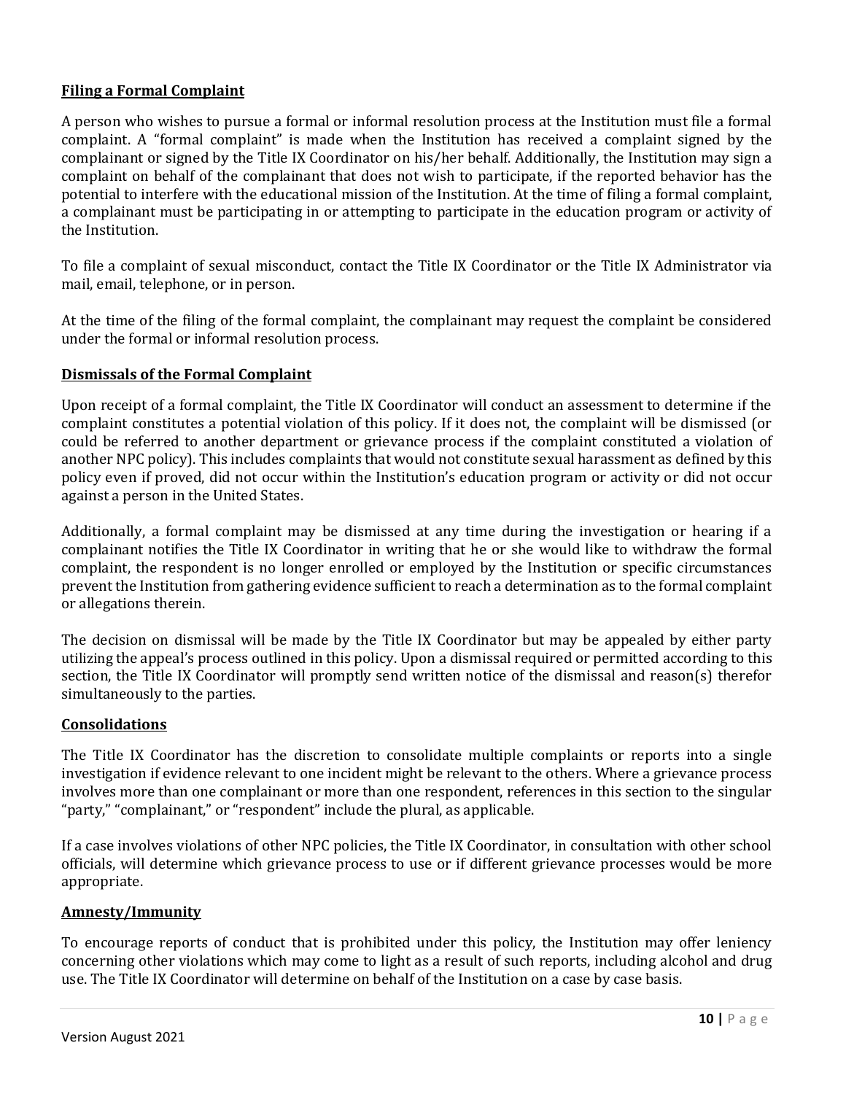# **Filing a Formal Complaint**

A person who wishes to pursue a formal or informal resolution process at the Institution must file a formal complaint. A "formal complaint" is made when the Institution has received a complaint signed by the complainant or signed by the Title IX Coordinator on his/her behalf. Additionally, the Institution may sign a complaint on behalf of the complainant that does not wish to participate, if the reported behavior has the potential to interfere with the educational mission of the Institution. At the time of filing a formal complaint, a complainant must be participating in or attempting to participate in the education program or activity of the Institution.

To file a complaint of sexual misconduct, contact the Title IX Coordinator or the Title IX Administrator via mail, email, telephone, or in person.

At the time of the filing of the formal complaint, the complainant may request the complaint be considered under the formal or informal resolution process.

# **Dismissals of the Formal Complaint**

Upon receipt of a formal complaint, the Title IX Coordinator will conduct an assessment to determine if the complaint constitutes a potential violation of this policy. If it does not, the complaint will be dismissed (or could be referred to another department or grievance process if the complaint constituted a violation of another NPC policy). This includes complaints that would not constitute sexual harassment as defined by this policy even if proved, did not occur within the Institution's education program or activity or did not occur against a person in the United States.

Additionally, a formal complaint may be dismissed at any time during the investigation or hearing if a complainant notifies the Title IX Coordinator in writing that he or she would like to withdraw the formal complaint, the respondent is no longer enrolled or employed by the Institution or specific circumstances prevent the Institution from gathering evidence sufficient to reach a determination as to the formal complaint or allegations therein.

The decision on dismissal will be made by the Title IX Coordinator but may be appealed by either party utilizing the appeal's process outlined in this policy. Upon a dismissal required or permitted according to this section, the Title IX Coordinator will promptly send written notice of the dismissal and reason(s) therefor simultaneously to the parties.

#### **Consolidations**

The Title IX Coordinator has the discretion to consolidate multiple complaints or reports into a single investigation if evidence relevant to one incident might be relevant to the others. Where a grievance process involves more than one complainant or more than one respondent, references in this section to the singular "party," "complainant," or "respondent" include the plural, as applicable.

If a case involves violations of other NPC policies, the Title IX Coordinator, in consultation with other school officials, will determine which grievance process to use or if different grievance processes would be more appropriate.

#### **Amnesty/Immunity**

To encourage reports of conduct that is prohibited under this policy, the Institution may offer leniency concerning other violations which may come to light as a result of such reports, including alcohol and drug use. The Title IX Coordinator will determine on behalf of the Institution on a case by case basis.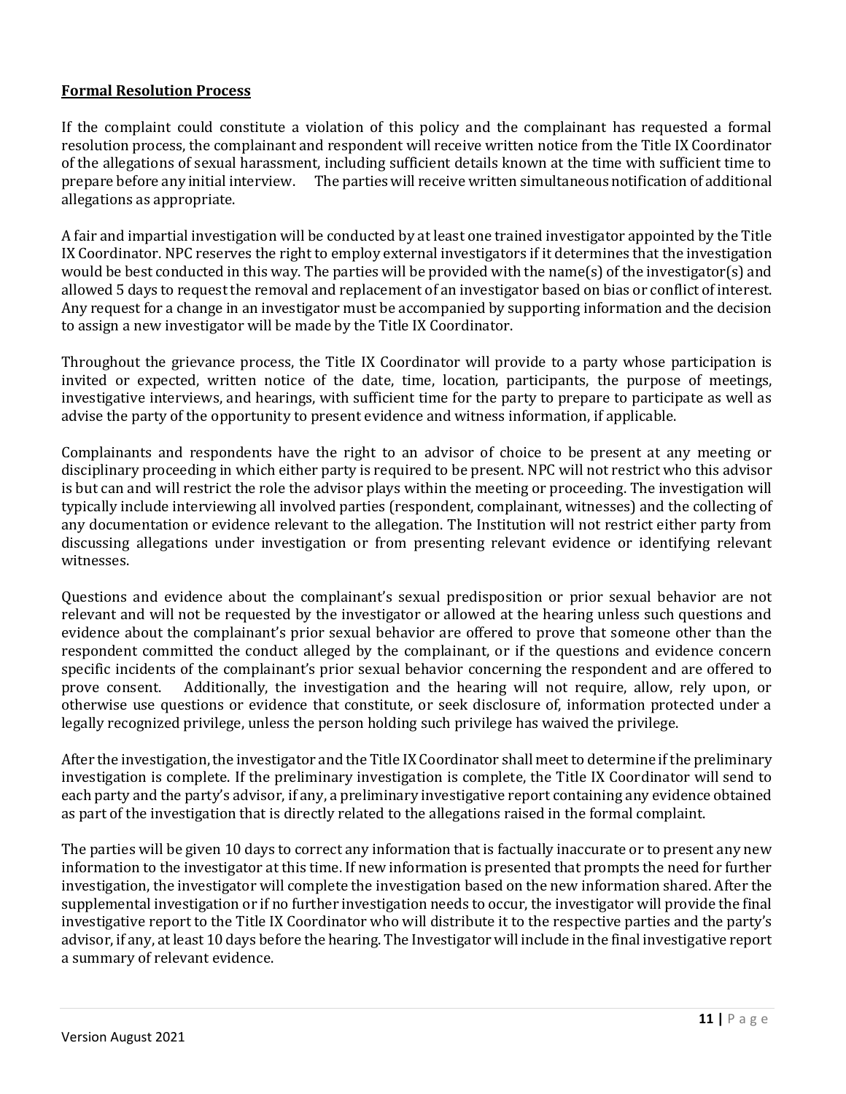# **Formal Resolution Process**

If the complaint could constitute a violation of this policy and the complainant has requested a formal resolution process, the complainant and respondent will receive written notice from the Title IX Coordinator of the allegations of sexual harassment, including sufficient details known at the time with sufficient time to prepare before any initial interview. The parties will receive written simultaneous notification of additional allegations as appropriate.

A fair and impartial investigation will be conducted by at least one trained investigator appointed by the Title IX Coordinator. NPC reserves the right to employ external investigators if it determines that the investigation would be best conducted in this way. The parties will be provided with the name(s) of the investigator(s) and allowed 5 days to request the removal and replacement of an investigator based on bias or conflict of interest. Any request for a change in an investigator must be accompanied by supporting information and the decision to assign a new investigator will be made by the Title IX Coordinator.

Throughout the grievance process, the Title IX Coordinator will provide to a party whose participation is invited or expected, written notice of the date, time, location, participants, the purpose of meetings, investigative interviews, and hearings, with sufficient time for the party to prepare to participate as well as advise the party of the opportunity to present evidence and witness information, if applicable.

Complainants and respondents have the right to an advisor of choice to be present at any meeting or disciplinary proceeding in which either party is required to be present. NPC will not restrict who this advisor is but can and will restrict the role the advisor plays within the meeting or proceeding. The investigation will typically include interviewing all involved parties (respondent, complainant, witnesses) and the collecting of any documentation or evidence relevant to the allegation. The Institution will not restrict either party from discussing allegations under investigation or from presenting relevant evidence or identifying relevant witnesses.

Questions and evidence about the complainant's sexual predisposition or prior sexual behavior are not relevant and will not be requested by the investigator or allowed at the hearing unless such questions and evidence about the complainant's prior sexual behavior are offered to prove that someone other than the respondent committed the conduct alleged by the complainant, or if the questions and evidence concern specific incidents of the complainant's prior sexual behavior concerning the respondent and are offered to prove consent. Additionally, the investigation and the hearing will not require, allow, rely upon, or otherwise use questions or evidence that constitute, or seek disclosure of, information protected under a legally recognized privilege, unless the person holding such privilege has waived the privilege.

After the investigation, the investigator and the Title IX Coordinator shall meet to determine if the preliminary investigation is complete. If the preliminary investigation is complete, the Title IX Coordinator will send to each party and the party's advisor, if any, a preliminary investigative report containing any evidence obtained as part of the investigation that is directly related to the allegations raised in the formal complaint.

The parties will be given 10 days to correct any information that is factually inaccurate or to present any new information to the investigator at this time. If new information is presented that prompts the need for further investigation, the investigator will complete the investigation based on the new information shared. After the supplemental investigation or if no further investigation needs to occur, the investigator will provide the final investigative report to the Title IX Coordinator who will distribute it to the respective parties and the party's advisor, if any, at least 10 days before the hearing. The Investigator will include in the final investigative report a summary of relevant evidence.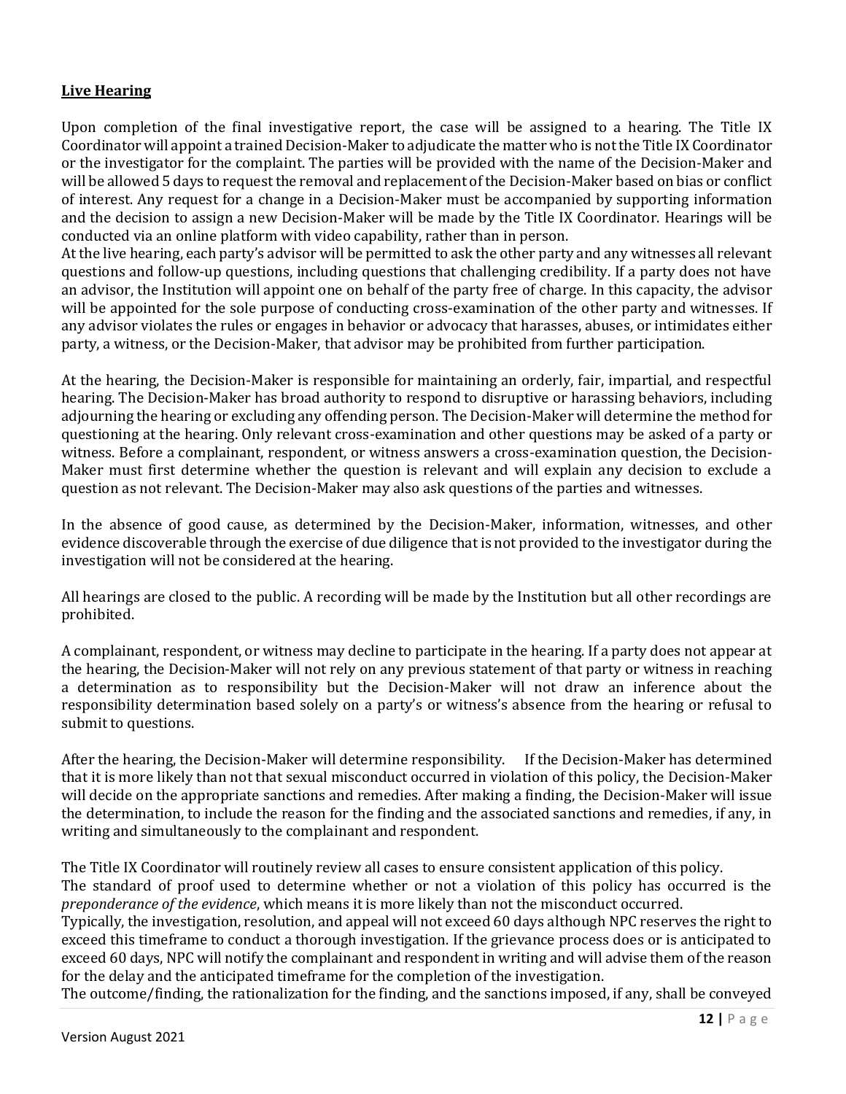# **Live Hearing**

Upon completion of the final investigative report, the case will be assigned to a hearing. The Title IX Coordinator will appoint a trained Decision-Maker to adjudicate the matter who is not the Title IX Coordinator or the investigator for the complaint. The parties will be provided with the name of the Decision-Maker and will be allowed 5 days to request the removal and replacement of the Decision-Maker based on bias or conflict of interest. Any request for a change in a Decision-Maker must be accompanied by supporting information and the decision to assign a new Decision-Maker will be made by the Title IX Coordinator. Hearings will be conducted via an online platform with video capability, rather than in person.

At the live hearing, each party's advisor will be permitted to ask the other party and any witnesses all relevant questions and follow-up questions, including questions that challenging credibility. If a party does not have an advisor, the Institution will appoint one on behalf of the party free of charge. In this capacity, the advisor will be appointed for the sole purpose of conducting cross-examination of the other party and witnesses. If any advisor violates the rules or engages in behavior or advocacy that harasses, abuses, or intimidates either party, a witness, or the Decision-Maker, that advisor may be prohibited from further participation.

At the hearing, the Decision-Maker is responsible for maintaining an orderly, fair, impartial, and respectful hearing. The Decision-Maker has broad authority to respond to disruptive or harassing behaviors, including adjourning the hearing or excluding any offending person. The Decision-Maker will determine the method for questioning at the hearing. Only relevant cross-examination and other questions may be asked of a party or witness. Before a complainant, respondent, or witness answers a cross-examination question, the Decision-Maker must first determine whether the question is relevant and will explain any decision to exclude a question as not relevant. The Decision-Maker may also ask questions of the parties and witnesses.

In the absence of good cause, as determined by the Decision-Maker, information, witnesses, and other evidence discoverable through the exercise of due diligence that is not provided to the investigator during the investigation will not be considered at the hearing.

All hearings are closed to the public. A recording will be made by the Institution but all other recordings are prohibited.

A complainant, respondent, or witness may decline to participate in the hearing. If a party does not appear at the hearing, the Decision-Maker will not rely on any previous statement of that party or witness in reaching a determination as to responsibility but the Decision-Maker will not draw an inference about the responsibility determination based solely on a party's or witness's absence from the hearing or refusal to submit to questions.

After the hearing, the Decision-Maker will determine responsibility. If the Decision-Maker has determined that it is more likely than not that sexual misconduct occurred in violation of this policy, the Decision-Maker will decide on the appropriate sanctions and remedies. After making a finding, the Decision-Maker will issue the determination, to include the reason for the finding and the associated sanctions and remedies, if any, in writing and simultaneously to the complainant and respondent.

The Title IX Coordinator will routinely review all cases to ensure consistent application of this policy. The standard of proof used to determine whether or not a violation of this policy has occurred is the *preponderance of the evidence*, which means it is more likely than not the misconduct occurred.

Typically, the investigation, resolution, and appeal will not exceed 60 days although NPC reserves the right to exceed this timeframe to conduct a thorough investigation. If the grievance process does or is anticipated to exceed 60 days, NPC will notify the complainant and respondent in writing and will advise them of the reason for the delay and the anticipated timeframe for the completion of the investigation.

The outcome/finding, the rationalization for the finding, and the sanctions imposed, if any, shall be conveyed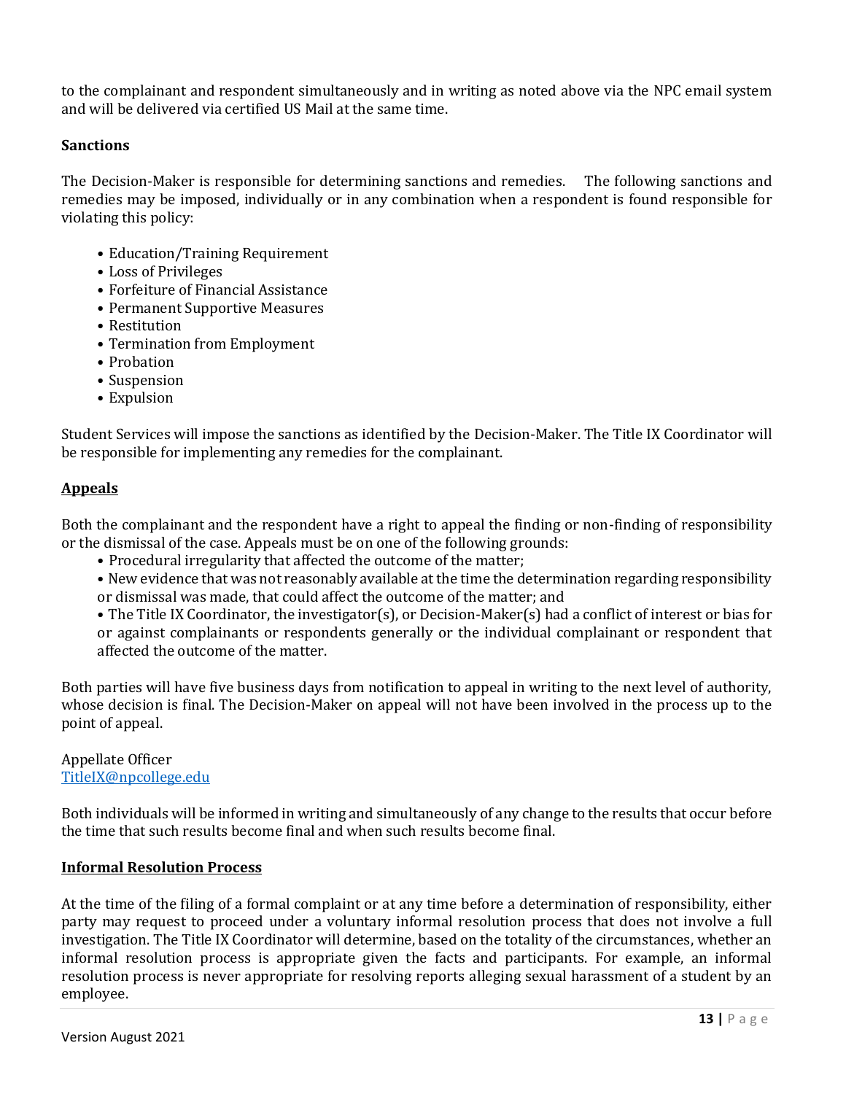to the complainant and respondent simultaneously and in writing as noted above via the NPC email system and will be delivered via certified US Mail at the same time.

# **Sanctions**

The Decision-Maker is responsible for determining sanctions and remedies. The following sanctions and remedies may be imposed, individually or in any combination when a respondent is found responsible for violating this policy:

- Education/Training Requirement
- Loss of Privileges
- Forfeiture of Financial Assistance
- Permanent Supportive Measures
- Restitution
- Termination from Employment
- Probation
- Suspension
- Expulsion

Student Services will impose the sanctions as identified by the Decision-Maker. The Title IX Coordinator will be responsible for implementing any remedies for the complainant.

# **Appeals**

Both the complainant and the respondent have a right to appeal the finding or non-finding of responsibility or the dismissal of the case. Appeals must be on one of the following grounds:

- Procedural irregularity that affected the outcome of the matter;
- New evidence that was not reasonably available at the time the determination regarding responsibility or dismissal was made, that could affect the outcome of the matter; and

• The Title IX Coordinator, the investigator(s), or Decision-Maker(s) had a conflict of interest or bias for or against complainants or respondents generally or the individual complainant or respondent that affected the outcome of the matter.

Both parties will have five business days from notification to appeal in writing to the next level of authority, whose decision is final. The Decision-Maker on appeal will not have been involved in the process up to the point of appeal.

#### Appellate Officer TitleIX@npcollege.edu

Both individuals will be informed in writing and simultaneously of any change to the results that occur before the time that such results become final and when such results become final.

#### **Informal Resolution Process**

At the time of the filing of a formal complaint or at any time before a determination of responsibility, either party may request to proceed under a voluntary informal resolution process that does not involve a full investigation. The Title IX Coordinator will determine, based on the totality of the circumstances, whether an informal resolution process is appropriate given the facts and participants. For example, an informal resolution process is never appropriate for resolving reports alleging sexual harassment of a student by an employee.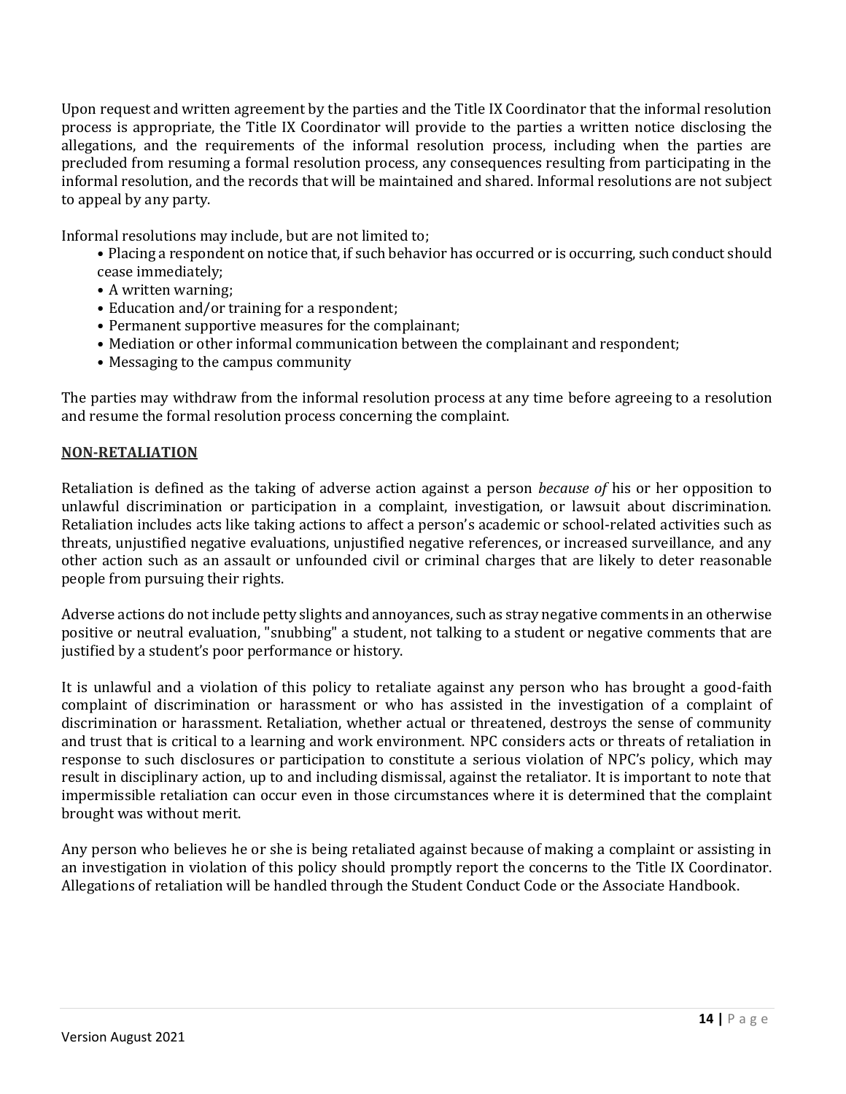Upon request and written agreement by the parties and the Title IX Coordinator that the informal resolution process is appropriate, the Title IX Coordinator will provide to the parties a written notice disclosing the allegations, and the requirements of the informal resolution process, including when the parties are precluded from resuming a formal resolution process, any consequences resulting from participating in the informal resolution, and the records that will be maintained and shared. Informal resolutions are not subject to appeal by any party.

Informal resolutions may include, but are not limited to;

- Placing a respondent on notice that, if such behavior has occurred or is occurring, such conduct should cease immediately;
- A written warning;
- Education and/or training for a respondent;
- Permanent supportive measures for the complainant;
- Mediation or other informal communication between the complainant and respondent;
- Messaging to the campus community

The parties may withdraw from the informal resolution process at any time before agreeing to a resolution and resume the formal resolution process concerning the complaint.

#### **NON-RETALIATION**

Retaliation is defined as the taking of adverse action against a person *because of* his or her opposition to unlawful discrimination or participation in a complaint, investigation, or lawsuit about discrimination. Retaliation includes acts like taking actions to affect a person's academic or school-related activities such as threats, unjustified negative evaluations, unjustified negative references, or increased surveillance, and any other action such as an assault or unfounded civil or criminal charges that are likely to deter reasonable people from pursuing their rights.

Adverse actions do not include petty slights and annoyances, such as stray negative comments in an otherwise positive or neutral evaluation, "snubbing" a student, not talking to a student or negative comments that are justified by a student's poor performance or history.

It is unlawful and a violation of this policy to retaliate against any person who has brought a good-faith complaint of discrimination or harassment or who has assisted in the investigation of a complaint of discrimination or harassment. Retaliation, whether actual or threatened, destroys the sense of community and trust that is critical to a learning and work environment. NPC considers acts or threats of retaliation in response to such disclosures or participation to constitute a serious violation of NPC's policy, which may result in disciplinary action, up to and including dismissal, against the retaliator. It is important to note that impermissible retaliation can occur even in those circumstances where it is determined that the complaint brought was without merit.

Any person who believes he or she is being retaliated against because of making a complaint or assisting in an investigation in violation of this policy should promptly report the concerns to the Title IX Coordinator. Allegations of retaliation will be handled through the Student Conduct Code or the Associate Handbook.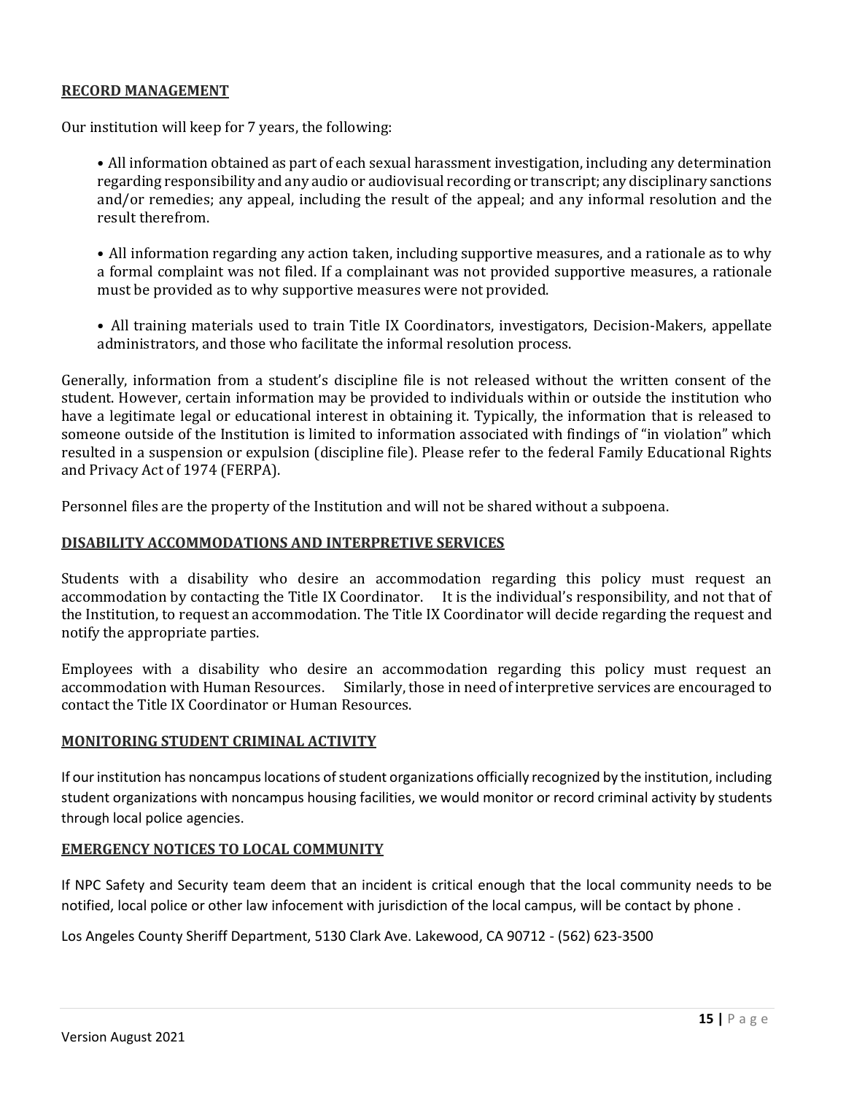# **RECORD MANAGEMENT**

Our institution will keep for 7 years, the following:

• All information obtained as part of each sexual harassment investigation, including any determination regarding responsibility and any audio or audiovisual recording or transcript; any disciplinary sanctions and/or remedies; any appeal, including the result of the appeal; and any informal resolution and the result therefrom.

• All information regarding any action taken, including supportive measures, and a rationale as to why a formal complaint was not filed. If a complainant was not provided supportive measures, a rationale must be provided as to why supportive measures were not provided.

• All training materials used to train Title IX Coordinators, investigators, Decision-Makers, appellate administrators, and those who facilitate the informal resolution process.

Generally, information from a student's discipline file is not released without the written consent of the student. However, certain information may be provided to individuals within or outside the institution who have a legitimate legal or educational interest in obtaining it. Typically, the information that is released to someone outside of the Institution is limited to information associated with findings of "in violation" which resulted in a suspension or expulsion (discipline file). Please refer to the federal Family Educational Rights and Privacy Act of 1974 (FERPA).

Personnel files are the property of the Institution and will not be shared without a subpoena.

### **DISABILITY ACCOMMODATIONS AND INTERPRETIVE SERVICES**

Students with a disability who desire an accommodation regarding this policy must request an accommodation by contacting the Title IX Coordinator. It is the individual's responsibility, and not that of the Institution, to request an accommodation. The Title IX Coordinator will decide regarding the request and notify the appropriate parties.

Employees with a disability who desire an accommodation regarding this policy must request an accommodation with Human Resources. Similarly, those in need of interpretive services are encouraged to contact the Title IX Coordinator or Human Resources.

#### **MONITORING STUDENT CRIMINAL ACTIVITY**

If our institution has noncampuslocations of student organizations officially recognized by the institution, including student organizations with noncampus housing facilities, we would monitor or record criminal activity by students through local police agencies.

#### **EMERGENCY NOTICES TO LOCAL COMMUNITY**

If NPC Safety and Security team deem that an incident is critical enough that the local community needs to be notified, local police or other law infocement with jurisdiction of the local campus, will be contact by phone .

Los Angeles County Sheriff Department, 5130 Clark Ave. Lakewood, CA 90712 - (562) 623-3500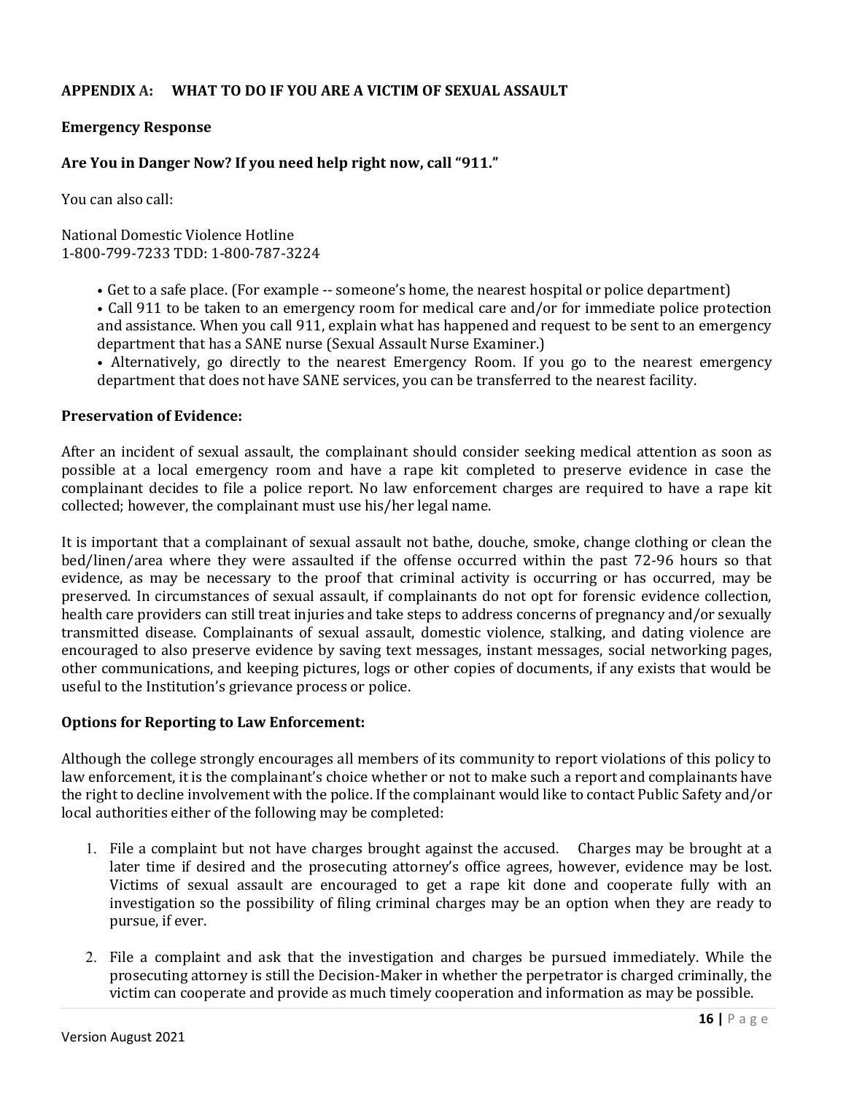# **APPENDIX A: WHAT TO DO IF YOU ARE A VICTIM OF SEXUAL ASSAULT**

### **Emergency Response**

# **Are You in Danger Now? If you need help right now, call "911."**

You can also call:

National Domestic Violence Hotline 1-800-799-7233 TDD: 1-800-787-3224

- Get to a safe place. (For example -- someone's home, the nearest hospital or police department)
- Call 911 to be taken to an emergency room for medical care and/or for immediate police protection and assistance. When you call 911, explain what has happened and request to be sent to an emergency department that has a SANE nurse (Sexual Assault Nurse Examiner.)
- Alternatively, go directly to the nearest Emergency Room. If you go to the nearest emergency department that does not have SANE services, you can be transferred to the nearest facility.

#### **Preservation of Evidence:**

After an incident of sexual assault, the complainant should consider seeking medical attention as soon as possible at a local emergency room and have a rape kit completed to preserve evidence in case the complainant decides to file a police report. No law enforcement charges are required to have a rape kit collected; however, the complainant must use his/her legal name.

It is important that a complainant of sexual assault not bathe, douche, smoke, change clothing or clean the bed/linen/area where they were assaulted if the offense occurred within the past 72-96 hours so that evidence, as may be necessary to the proof that criminal activity is occurring or has occurred, may be preserved. In circumstances of sexual assault, if complainants do not opt for forensic evidence collection, health care providers can still treat injuries and take steps to address concerns of pregnancy and/or sexually transmitted disease. Complainants of sexual assault, domestic violence, stalking, and dating violence are encouraged to also preserve evidence by saving text messages, instant messages, social networking pages, other communications, and keeping pictures, logs or other copies of documents, if any exists that would be useful to the Institution's grievance process or police.

#### **Options for Reporting to Law Enforcement:**

Although the college strongly encourages all members of its community to report violations of this policy to law enforcement, it is the complainant's choice whether or not to make such a report and complainants have the right to decline involvement with the police. If the complainant would like to contact Public Safety and/or local authorities either of the following may be completed:

- 1. File a complaint but not have charges brought against the accused. Charges may be brought at a later time if desired and the prosecuting attorney's office agrees, however, evidence may be lost. Victims of sexual assault are encouraged to get a rape kit done and cooperate fully with an investigation so the possibility of filing criminal charges may be an option when they are ready to pursue, if ever.
- 2. File a complaint and ask that the investigation and charges be pursued immediately. While the prosecuting attorney is still the Decision-Maker in whether the perpetrator is charged criminally, the victim can cooperate and provide as much timely cooperation and information as may be possible.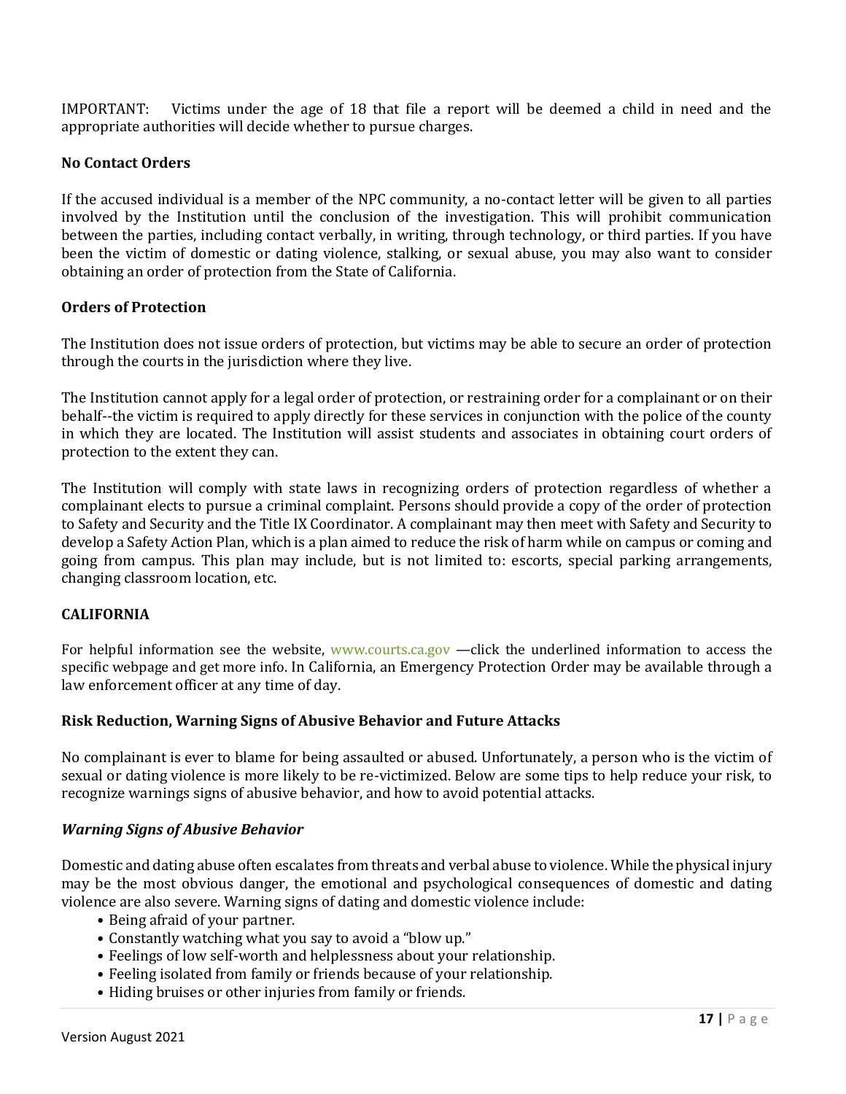IMPORTANT: Victims under the age of 18 that file a report will be deemed a child in need and the appropriate authorities will decide whether to pursue charges.

# **No Contact Orders**

If the accused individual is a member of the NPC community, a no-contact letter will be given to all parties involved by the Institution until the conclusion of the investigation. This will prohibit communication between the parties, including contact verbally, in writing, through technology, or third parties. If you have been the victim of domestic or dating violence, stalking, or sexual abuse, you may also want to consider obtaining an order of protection from the State of California.

# **Orders of Protection**

The Institution does not issue orders of protection, but victims may be able to secure an order of protection through the courts in the jurisdiction where they live.

The Institution cannot apply for a legal order of protection, or restraining order for a complainant or on their behalf--the victim is required to apply directly for these services in conjunction with the police of the county in which they are located. The Institution will assist students and associates in obtaining court orders of protection to the extent they can.

The Institution will comply with state laws in recognizing orders of protection regardless of whether a complainant elects to pursue a criminal complaint. Persons should provide a copy of the order of protection to Safety and Security and the Title IX Coordinator. A complainant may then meet with Safety and Security to develop a Safety Action Plan, which is a plan aimed to reduce the risk of harm while on campus or coming and going from campus. This plan may include, but is not limited to: escorts, special parking arrangements, changing classroom location, etc.

# **CALIFORNIA**

For helpful information see the website, www.courts.ca.gov —click the underlined information to access the specific webpage and get more info. In California, an Emergency Protection Order may be available through a law enforcement officer at any time of day.

#### **Risk Reduction, Warning Signs of Abusive Behavior and Future Attacks**

No complainant is ever to blame for being assaulted or abused. Unfortunately, a person who is the victim of sexual or dating violence is more likely to be re-victimized. Below are some tips to help reduce your risk, to recognize warnings signs of abusive behavior, and how to avoid potential attacks.

#### *Warning Signs of Abusive Behavior*

Domestic and dating abuse often escalates from threats and verbal abuse to violence. While the physical injury may be the most obvious danger, the emotional and psychological consequences of domestic and dating violence are also severe. Warning signs of dating and domestic violence include:

- Being afraid of your partner.
- Constantly watching what you say to avoid a "blow up."
- Feelings of low self-worth and helplessness about your relationship.
- Feeling isolated from family or friends because of your relationship.
- Hiding bruises or other injuries from family or friends.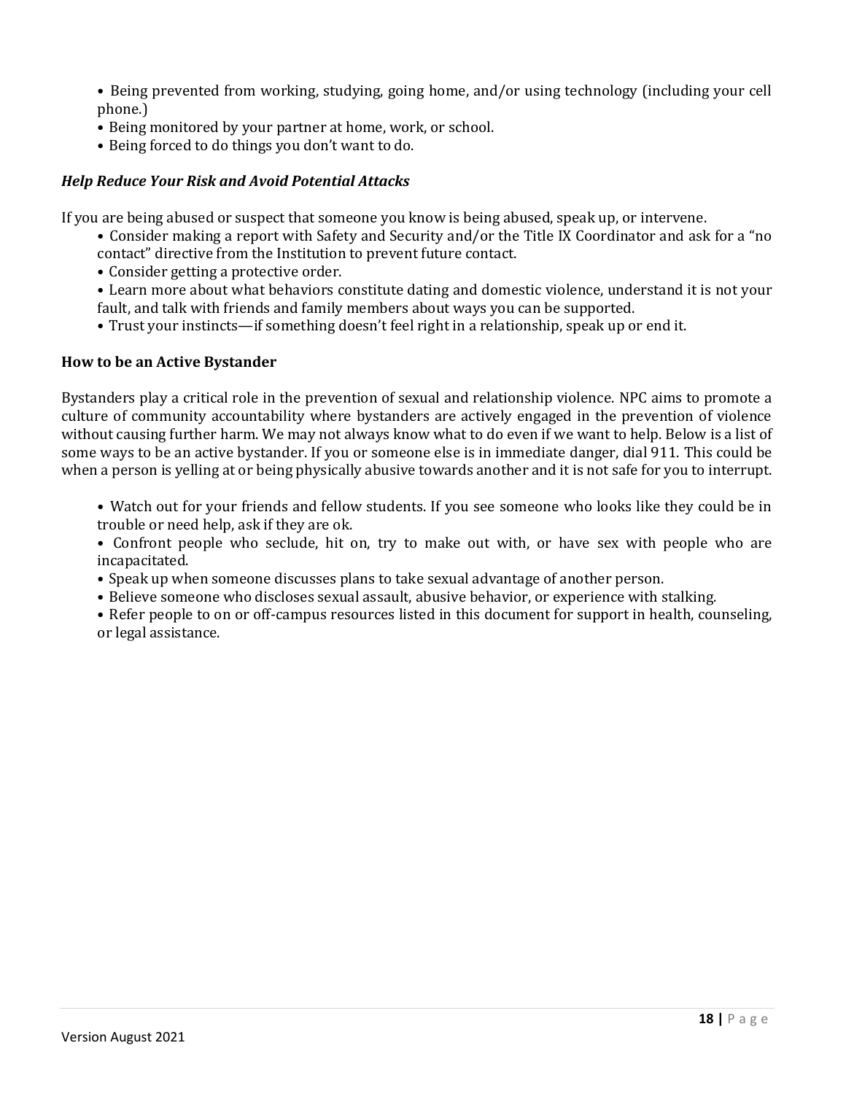- Being prevented from working, studying, going home, and/or using technology (including your cell phone.)
- Being monitored by your partner at home, work, or school.
- Being forced to do things you don't want to do.

# *Help Reduce Your Risk and Avoid Potential Attacks*

If you are being abused or suspect that someone you know is being abused, speak up, or intervene.

- Consider making a report with Safety and Security and/or the Title IX Coordinator and ask for a "no contact" directive from the Institution to prevent future contact.
- Consider getting a protective order.
- Learn more about what behaviors constitute dating and domestic violence, understand it is not your fault, and talk with friends and family members about ways you can be supported.
- Trust your instincts—if something doesn't feel right in a relationship, speak up or end it.

# **How to be an Active Bystander**

Bystanders play a critical role in the prevention of sexual and relationship violence. NPC aims to promote a culture of community accountability where bystanders are actively engaged in the prevention of violence without causing further harm. We may not always know what to do even if we want to help. Below is a list of some ways to be an active bystander. If you or someone else is in immediate danger, dial 911. This could be when a person is yelling at or being physically abusive towards another and it is not safe for you to interrupt.

• Watch out for your friends and fellow students. If you see someone who looks like they could be in trouble or need help, ask if they are ok.

• Confront people who seclude, hit on, try to make out with, or have sex with people who are incapacitated.

- Speak up when someone discusses plans to take sexual advantage of another person.
- Believe someone who discloses sexual assault, abusive behavior, or experience with stalking.

• Refer people to on or off-campus resources listed in this document for support in health, counseling, or legal assistance.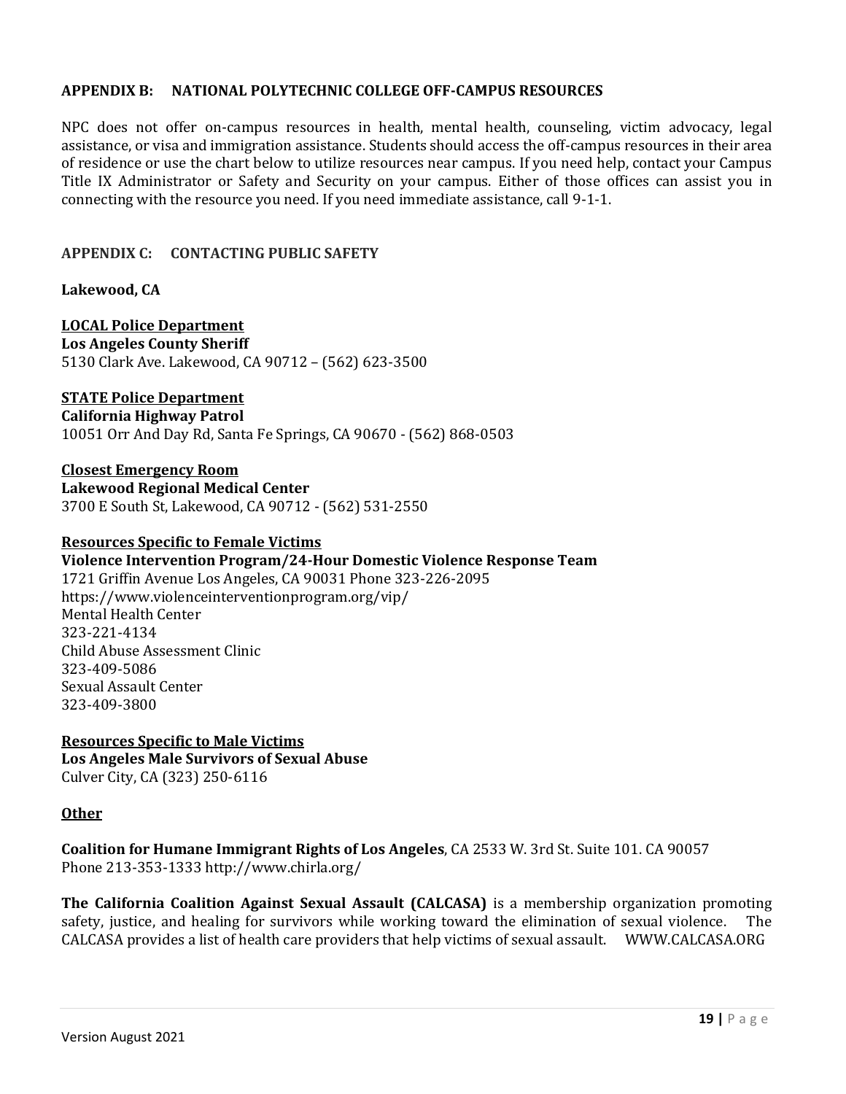# **APPENDIX B: NATIONAL POLYTECHNIC COLLEGE OFF-CAMPUS RESOURCES**

NPC does not offer on-campus resources in health, mental health, counseling, victim advocacy, legal assistance, or visa and immigration assistance. Students should access the off-campus resources in their area of residence or use the chart below to utilize resources near campus. If you need help, contact your Campus Title IX Administrator or Safety and Security on your campus. Either of those offices can assist you in connecting with the resource you need. If you need immediate assistance, call 9-1-1.

# **APPENDIX C: CONTACTING PUBLIC SAFETY**

**Lakewood, CA**

**LOCAL Police Department Los Angeles County Sheriff** 5130 Clark Ave. Lakewood, CA 90712 – (562) 623-3500

#### **STATE Police Department**

**California Highway Patrol**

10051 Orr And Day Rd, Santa Fe Springs, CA 90670 - (562) 868-0503

**Closest Emergency Room Lakewood Regional Medical Center** 3700 E South St, Lakewood, CA 90712 - (562) 531-2550

#### **Resources Specific to Female Victims**

**Violence Intervention Program/24-Hour Domestic Violence Response Team** 1721 Griffin Avenue Los Angeles, CA 90031 Phone 323-226-2095 https://www.violenceinterventionprogram.org/vip/ Mental Health Center 323-221-4134 Child Abuse Assessment Clinic 323-409-5086 Sexual Assault Center 323-409-3800

**Resources Specific to Male Victims Los Angeles Male Survivors of Sexual Abuse** Culver City, CA (323) 250-6116

#### **Other**

**Coalition for Humane Immigrant Rights of Los Angeles**, CA 2533 W. 3rd St. Suite 101. CA 90057 Phone 213-353-1333 http://www.chirla.org/

**The California Coalition Against Sexual Assault (CALCASA)** is a membership organization promoting safety, justice, and healing for survivors while working toward the elimination of sexual violence. The CALCASA provides a list of health care providers that help victims of sexual assault. WWW.CALCASA.ORG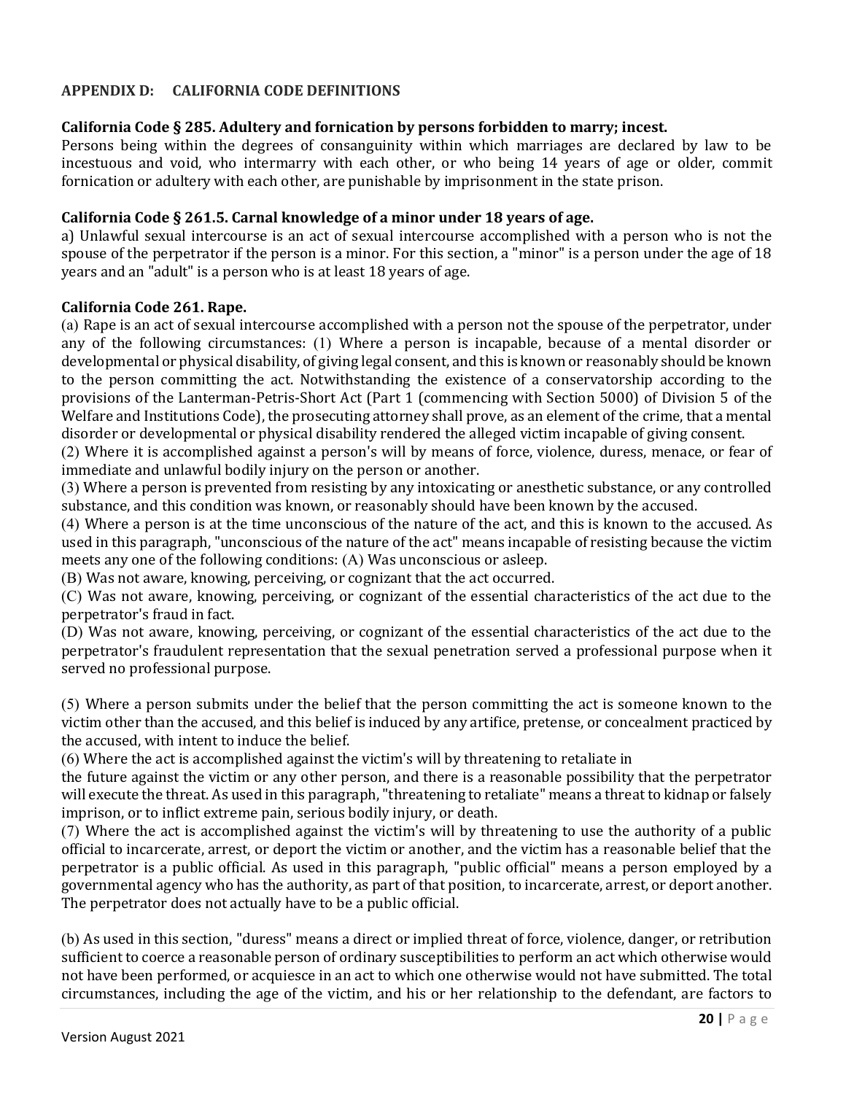# **APPENDIX D: CALIFORNIA CODE DEFINITIONS**

# **California Code § 285. Adultery and fornication by persons forbidden to marry; incest.**

Persons being within the degrees of consanguinity within which marriages are declared by law to be incestuous and void, who intermarry with each other, or who being 14 years of age or older, commit fornication or adultery with each other, are punishable by imprisonment in the state prison.

### **California Code § 261.5. Carnal knowledge of a minor under 18 years of age.**

a) Unlawful sexual intercourse is an act of sexual intercourse accomplished with a person who is not the spouse of the perpetrator if the person is a minor. For this section, a "minor" is a person under the age of 18 years and an "adult" is a person who is at least 18 years of age.

# **California Code 261. Rape.**

(a) Rape is an act of sexual intercourse accomplished with a person not the spouse of the perpetrator, under any of the following circumstances: (1) Where a person is incapable, because of a mental disorder or developmental or physical disability, of giving legal consent, and this is known or reasonably should be known to the person committing the act. Notwithstanding the existence of a conservatorship according to the provisions of the Lanterman-Petris-Short Act (Part 1 (commencing with Section 5000) of Division 5 of the Welfare and Institutions Code), the prosecuting attorney shall prove, as an element of the crime, that a mental disorder or developmental or physical disability rendered the alleged victim incapable of giving consent.

(2) Where it is accomplished against a person's will by means of force, violence, duress, menace, or fear of immediate and unlawful bodily injury on the person or another.

(3) Where a person is prevented from resisting by any intoxicating or anesthetic substance, or any controlled substance, and this condition was known, or reasonably should have been known by the accused.

(4) Where a person is at the time unconscious of the nature of the act, and this is known to the accused. As used in this paragraph, "unconscious of the nature of the act" means incapable of resisting because the victim meets any one of the following conditions: (A) Was unconscious or asleep.

(B) Was not aware, knowing, perceiving, or cognizant that the act occurred.

(C) Was not aware, knowing, perceiving, or cognizant of the essential characteristics of the act due to the perpetrator's fraud in fact.

(D) Was not aware, knowing, perceiving, or cognizant of the essential characteristics of the act due to the perpetrator's fraudulent representation that the sexual penetration served a professional purpose when it served no professional purpose.

(5) Where a person submits under the belief that the person committing the act is someone known to the victim other than the accused, and this belief is induced by any artifice, pretense, or concealment practiced by the accused, with intent to induce the belief.

(6) Where the act is accomplished against the victim's will by threatening to retaliate in

the future against the victim or any other person, and there is a reasonable possibility that the perpetrator will execute the threat. As used in this paragraph, "threatening to retaliate" means a threat to kidnap or falsely imprison, or to inflict extreme pain, serious bodily injury, or death.

(7) Where the act is accomplished against the victim's will by threatening to use the authority of a public official to incarcerate, arrest, or deport the victim or another, and the victim has a reasonable belief that the perpetrator is a public official. As used in this paragraph, "public official" means a person employed by a governmental agency who has the authority, as part of that position, to incarcerate, arrest, or deport another. The perpetrator does not actually have to be a public official.

(b) As used in this section, "duress" means a direct or implied threat of force, violence, danger, or retribution sufficient to coerce a reasonable person of ordinary susceptibilities to perform an act which otherwise would not have been performed, or acquiesce in an act to which one otherwise would not have submitted. The total circumstances, including the age of the victim, and his or her relationship to the defendant, are factors to